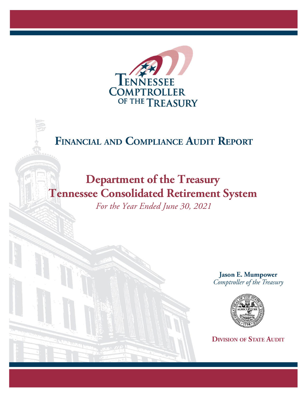

# FINANCIAL AND COMPLIANCE AUDIT REPORT

# **Department of the Treasury Tennessee Consolidated Retirement System**

*For the Year Ended June 30, 2021*

**Jason E. Mumpower** Comptroller of the Treasury



**DIVISION OF STATE AUDIT**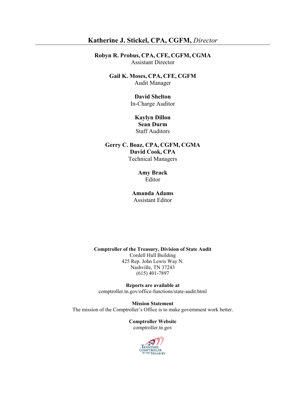#### **Katherine J. Stickel, CPA, CGFM,** *Director*

**Robyn R. Probus, CPA, CFE, CGFM, CGMA**  Assistant Director

> **Gail K. Moses, CPA, CFE, CGFM**  Audit Manager

#### **David Shelton**  In-Charge Auditor

#### **Kaylyn Dillon Sean Durm**  Staff Auditors

#### **Gerry C. Boaz, CPA, CGFM, CGMA David Cook, CPA**  Technical Managers

#### **Amy Brack**  Editor

#### **Amanda Adams**  Assistant Editor

**Comptroller of the Treasury, Division of State Audit**  Cordell Hull Building 425 Rep. John Lewis Way N. Nashville, TN 37243 (615) 401-7897

**Reports are available at**  comptroller.tn.gov/office-functions/state-audit.html

**Mission Statement**  The mission of the Comptroller's Office is to make government work better.

> **Comptroller Website**  comptroller.tn.gov

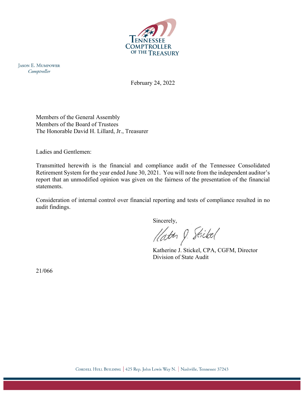

**JASON E. MUMPOWER** Comptroller

February 24, 2022

Members of the General Assembly Members of the Board of Trustees The Honorable David H. Lillard, Jr., Treasurer

Ladies and Gentlemen:

Transmitted herewith is the financial and compliance audit of the Tennessee Consolidated Retirement System for the year ended June 30, 2021. You will note from the independent auditor's report that an unmodified opinion was given on the fairness of the presentation of the financial statements.

Consideration of internal control over financial reporting and tests of compliance resulted in no audit findings.

Sincerely,<br>*(latter 9. Stickel*)

 Katherine J. Stickel, CPA, CGFM, Director Division of State Audit

21/066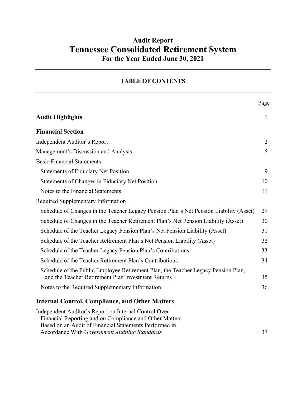# **Audit Report Tennessee Consolidated Retirement System For the Year Ended June 30, 2021**

### **TABLE OF CONTENTS**

|                                                                                                                                         | Page |
|-----------------------------------------------------------------------------------------------------------------------------------------|------|
| <b>Audit Highlights</b>                                                                                                                 | 1    |
| <b>Financial Section</b>                                                                                                                |      |
| Independent Auditor's Report                                                                                                            | 2    |
| Management's Discussion and Analysis                                                                                                    | 5    |
| <b>Basic Financial Statements</b>                                                                                                       |      |
| <b>Statements of Fiduciary Net Position</b>                                                                                             | 9    |
| Statements of Changes in Fiduciary Net Position                                                                                         | 10   |
| Notes to the Financial Statements                                                                                                       | 11   |
| Required Supplementary Information                                                                                                      |      |
| Schedule of Changes in the Teacher Legacy Pension Plan's Net Pension Liability (Asset)                                                  | 29   |
| Schedule of Changes in the Teacher Retirement Plan's Net Pension Liability (Asset)                                                      | 30   |
| Schedule of the Teacher Legacy Pension Plan's Net Pension Liability (Asset)                                                             | 31   |
| Schedule of the Teacher Retirement Plan's Net Pension Liability (Asset)                                                                 | 32   |
| Schedule of the Teacher Legacy Pension Plan's Contributions                                                                             | 33   |
| Schedule of the Teacher Retirement Plan's Contributions                                                                                 | 34   |
| Schedule of the Public Employee Retirement Plan, the Teacher Legacy Pension Plan,<br>and the Teacher Retirement Plan Investment Returns | 35   |
| Notes to the Required Supplementary Information                                                                                         | 36   |
| <b>Internal Control, Compliance, and Other Matters</b>                                                                                  |      |
| Independent Auditor's Report on Internal Control Over                                                                                   |      |

| Independent Auditor's Report on Internal Control Over   |    |
|---------------------------------------------------------|----|
| Financial Reporting and on Compliance and Other Matters |    |
| Based on an Audit of Financial Statements Performed in  |    |
| Accordance With Government Auditing Standards           | 37 |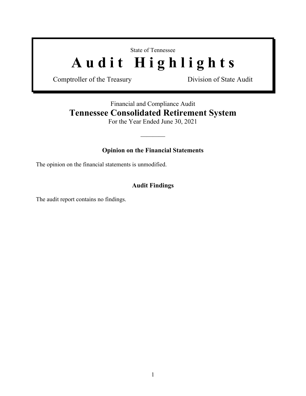State of Tennessee

# Audit Highlights

Comptroller of the Treasury Division of State Audit

# Financial and Compliance Audit **Tennessee Consolidated Retirement System**

For the Year Ended June 30, 2021

# **Opinion on the Financial Statements**

 $\frac{1}{2}$ 

The opinion on the financial statements is unmodified.

# **Audit Findings**

The audit report contains no findings.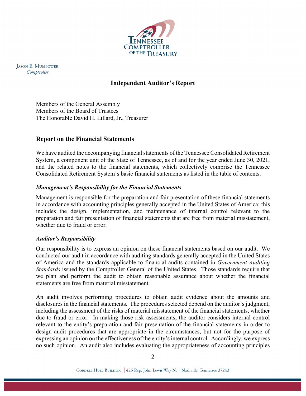

**JASON E. MUMPOWER** Comptroller

# **Independent Auditor's Report**

Members of the General Assembly Members of the Board of Trustees The Honorable David H. Lillard, Jr., Treasurer

#### **Report on the Financial Statements**

We have audited the accompanying financial statements of the Tennessee Consolidated Retirement System, a component unit of the State of Tennessee, as of and for the year ended June 30, 2021, and the related notes to the financial statements, which collectively comprise the Tennessee Consolidated Retirement System's basic financial statements as listed in the table of contents.

#### *Management's Responsibility for the Financial Statements*

Management is responsible for the preparation and fair presentation of these financial statements in accordance with accounting principles generally accepted in the United States of America; this includes the design, implementation, and maintenance of internal control relevant to the preparation and fair presentation of financial statements that are free from material misstatement, whether due to fraud or error.

#### *Auditor's Responsibility*

Our responsibility is to express an opinion on these financial statements based on our audit. We conducted our audit in accordance with auditing standards generally accepted in the United States of America and the standards applicable to financial audits contained in *Government Auditing Standards* issued by the Comptroller General of the United States. Those standards require that we plan and perform the audit to obtain reasonable assurance about whether the financial statements are free from material misstatement.

An audit involves performing procedures to obtain audit evidence about the amounts and disclosures in the financial statements. The procedures selected depend on the auditor's judgment, including the assessment of the risks of material misstatement of the financial statements, whether due to fraud or error. In making those risk assessments, the auditor considers internal control relevant to the entity's preparation and fair presentation of the financial statements in order to design audit procedures that are appropriate in the circumstances, but not for the purpose of expressing an opinion on the effectiveness of the entity's internal control. Accordingly, we express no such opinion. An audit also includes evaluating the appropriateness of accounting principles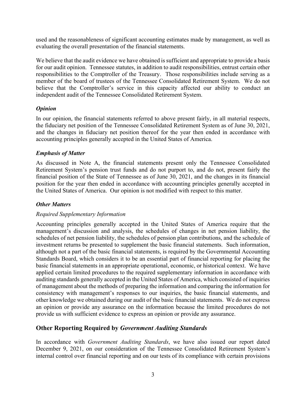used and the reasonableness of significant accounting estimates made by management, as well as evaluating the overall presentation of the financial statements.

We believe that the audit evidence we have obtained is sufficient and appropriate to provide a basis for our audit opinion. Tennessee statutes, in addition to audit responsibilities, entrust certain other responsibilities to the Comptroller of the Treasury. Those responsibilities include serving as a member of the board of trustees of the Tennessee Consolidated Retirement System. We do not believe that the Comptroller's service in this capacity affected our ability to conduct an independent audit of the Tennessee Consolidated Retirement System.

#### *Opinion*

In our opinion, the financial statements referred to above present fairly, in all material respects, the fiduciary net position of the Tennessee Consolidated Retirement System as of June 30, 2021, and the changes in fiduciary net position thereof for the year then ended in accordance with accounting principles generally accepted in the United States of America.

#### *Emphasis of Matter*

As discussed in Note A, the financial statements present only the Tennessee Consolidated Retirement System's pension trust funds and do not purport to, and do not, present fairly the financial position of the State of Tennessee as of June 30, 2021, and the changes in its financial position for the year then ended in accordance with accounting principles generally accepted in the United States of America. Our opinion is not modified with respect to this matter.

#### *Other Matters*

#### *Required Supplementary Information*

Accounting principles generally accepted in the United States of America require that the management's discussion and analysis, the schedules of changes in net pension liability, the schedules of net pension liability, the schedules of pension plan contributions, and the schedule of investment returns be presented to supplement the basic financial statements. Such information, although not a part of the basic financial statements, is required by the Governmental Accounting Standards Board, which considers it to be an essential part of financial reporting for placing the basic financial statements in an appropriate operational, economic, or historical context. We have applied certain limited procedures to the required supplementary information in accordance with auditing standards generally accepted in the United States of America, which consisted of inquiries of management about the methods of preparing the information and comparing the information for consistency with management's responses to our inquiries, the basic financial statements, and other knowledge we obtained during our audit of the basic financial statements. We do not express an opinion or provide any assurance on the information because the limited procedures do not provide us with sufficient evidence to express an opinion or provide any assurance.

#### **Other Reporting Required by** *Government Auditing Standards*

In accordance with *Government Auditing Standards*, we have also issued our report dated December 9, 2021, on our consideration of the Tennessee Consolidated Retirement System's internal control over financial reporting and on our tests of its compliance with certain provisions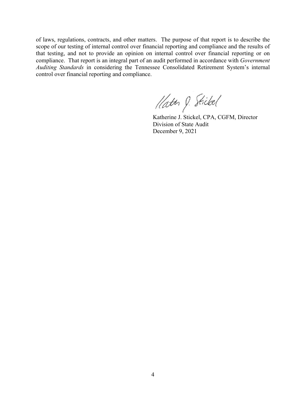of laws, regulations, contracts, and other matters. The purpose of that report is to describe the scope of our testing of internal control over financial reporting and compliance and the results of that testing, and not to provide an opinion on internal control over financial reporting or on compliance. That report is an integral part of an audit performed in accordance with *Government Auditing Standards* in considering the Tennessee Consolidated Retirement System's internal control over financial reporting and compliance.

Hatter J. Stickel

 Katherine J. Stickel, CPA, CGFM, Director Division of State Audit December 9, 2021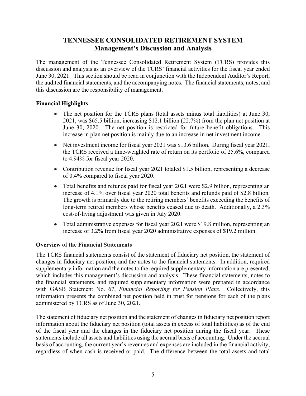# **TENNESSEE CONSOLIDATED RETIREMENT SYSTEM Management's Discussion and Analysis**

The management of the Tennessee Consolidated Retirement System (TCRS) provides this discussion and analysis as an overview of the TCRS' financial activities for the fiscal year ended June 30, 2021. This section should be read in conjunction with the Independent Auditor's Report, the audited financial statements, and the accompanying notes. The financial statements, notes, and this discussion are the responsibility of management.

#### **Financial Highlights**

- The net position for the TCRS plans (total assets minus total liabilities) at June 30, 2021, was \$65.5 billion, increasing \$12.1 billion (22.7%) from the plan net position at June 30, 2020. The net position is restricted for future benefit obligations. This increase in plan net position is mainly due to an increase in net investment income.
- Net investment income for fiscal year 2021 was \$13.6 billion. During fiscal year 2021, the TCRS received a time-weighted rate of return on its portfolio of 25.6%, compared to 4.94% for fiscal year 2020.
- Contribution revenue for fiscal year 2021 totaled \$1.5 billion, representing a decrease of 0.4% compared to fiscal year 2020.
- Total benefits and refunds paid for fiscal year 2021 were \$2.9 billion, representing an increase of 4.1% over fiscal year 2020 total benefits and refunds paid of \$2.8 billion. The growth is primarily due to the retiring members' benefits exceeding the benefits of long-term retired members whose benefits ceased due to death. Additionally, a 2.3% cost-of-living adjustment was given in July 2020.
- Total administrative expenses for fiscal year 2021 were \$19.8 million, representing an increase of 3.2% from fiscal year 2020 administrative expenses of \$19.2 million.

#### **Overview of the Financial Statements**

The TCRS financial statements consist of the statement of fiduciary net position, the statement of changes in fiduciary net position, and the notes to the financial statements. In addition, required supplementary information and the notes to the required supplementary information are presented, which includes this management's discussion and analysis. These financial statements, notes to the financial statements, and required supplementary information were prepared in accordance with GASB Statement No. 67, *Financial Reporting for Pension Plans*. Collectively, this information presents the combined net position held in trust for pensions for each of the plans administered by TCRS as of June 30, 2021.

The statement of fiduciary net position and the statement of changes in fiduciary net position report information about the fiduciary net position (total assets in excess of total liabilities) as of the end of the fiscal year and the changes in the fiduciary net position during the fiscal year. These statements include all assets and liabilities using the accrual basis of accounting. Under the accrual basis of accounting, the current year's revenues and expenses are included in the financial activity, regardless of when cash is received or paid. The difference between the total assets and total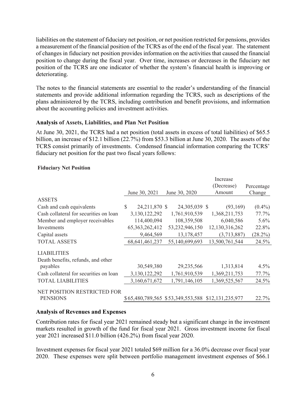liabilities on the statement of fiduciary net position, or net position restricted for pensions, provides a measurement of the financial position of the TCRS as of the end of the fiscal year. The statement of changes in fiduciary net position provides information on the activities that caused the financial position to change during the fiscal year. Over time, increases or decreases in the fiduciary net position of the TCRS are one indicator of whether the system's financial health is improving or deteriorating.

The notes to the financial statements are essential to the reader's understanding of the financial statements and provide additional information regarding the TCRS, such as descriptions of the plans administered by the TCRS, including contribution and benefit provisions, and information about the accounting policies and investment activities.

#### **Analysis of Assets, Liabilities, and Plan Net Position**

At June 30, 2021, the TCRS had a net position (total assets in excess of total liabilities) of \$65.5 billion, an increase of \$12.1 billion (22.7%) from \$53.3 billion at June 30, 2020. The assets of the TCRS consist primarily of investments. Condensed financial information comparing the TCRS' fiduciary net position for the past two fiscal years follows:

#### **Fiduciary Net Position**

|                                                | June 30, 2021      | June 30, 2020                     | Increase<br>(Decrease)<br>Amount | Percentage<br>Change |
|------------------------------------------------|--------------------|-----------------------------------|----------------------------------|----------------------|
| <b>ASSETS</b>                                  |                    |                                   |                                  |                      |
| Cash and cash equivalents                      | S<br>24,211,870 \$ | 24,305,039 \$                     | (93,169)                         | $(0.4\%)$            |
| Cash collateral for securities on loan         | 3,130,122,292      | 1,761,910,539                     | 1,368,211,753                    | 77.7%                |
| Member and employer receivables                | 114,400,094        | 108,359,508                       | 6,040,586                        | 5.6%                 |
| Investments                                    | 65, 363, 262, 412  | 53, 232, 946, 150                 | 12,130,316,262                   | 22.8%                |
| Capital assets                                 | 9,464,569          | 13,178,457                        | (3,713,887)                      | $(28.2\%)$           |
| <b>TOTAL ASSETS</b>                            | 68, 641, 461, 237  | 55,140,699,693                    | 13,500,761,544                   | 24.5%                |
| <b>LIABILITIES</b>                             |                    |                                   |                                  |                      |
| Death benefits, refunds, and other<br>payables | 30,549,380         | 29,235,566                        | 1,313,814                        | $4.5\%$              |
| Cash collateral for securities on loan         | 3,130,122,292      | 1,761,910,539                     | 1,369,211,753                    | 77.7%                |
| <b>TOTAL LIABILITIES</b>                       | 3,160,671,672      | 1,791,146,105                     | 1,369,525,567                    | 24.5%                |
| NET POSITION RESTRICTED FOR<br><b>PENSIONS</b> |                    | \$65,480,789,565 \$53,349,553,588 | \$12,131,235,977                 | 22.7%                |

#### **Analysis of Revenues and Expenses**

Contribution rates for fiscal year 2021 remained steady but a significant change in the investment markets resulted in growth of the fund for fiscal year 2021. Gross investment income for fiscal year 2021 increased \$11.0 billion (426.2%) from fiscal year 2020.

Investment expenses for fiscal year 2021 totaled \$69 million for a 36.0% decrease over fiscal year 2020. These expenses were split between portfolio management investment expenses of \$66.1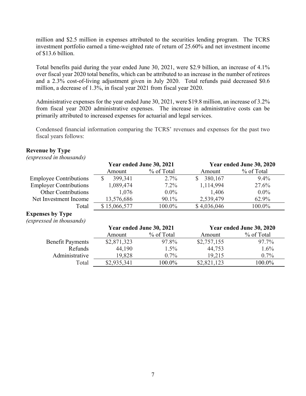million and \$2.5 million in expenses attributed to the securities lending program. The TCRS investment portfolio earned a time-weighted rate of return of 25.60% and net investment income of \$13.6 billion.

Total benefits paid during the year ended June 30, 2021, were \$2.9 billion, an increase of 4.1% over fiscal year 2020 total benefits, which can be attributed to an increase in the number of retirees and a 2.3% cost-of-living adjustment given in July 2020. Total refunds paid decreased \$0.6 million, a decrease of 1.3%, in fiscal year 2021 from fiscal year 2020.

Administrative expenses for the year ended June 30, 2021, were \$19.8 million, an increase of 3.2% from fiscal year 2020 administrative expenses. The increase in administrative costs can be primarily attributed to increased expenses for actuarial and legal services.

Condensed financial information comparing the TCRS' revenues and expenses for the past two fiscal years follows:

#### **Revenue by Type**

*(expressed in thousands)* 

|                               |              | Year ended June 30, 2021 |             | Year ended June 30, 2020 |
|-------------------------------|--------------|--------------------------|-------------|--------------------------|
|                               | Amount       | % of Total               | Amount      | % of Total               |
| <b>Employee Contributions</b> | 399,341      | $2.7\%$                  | 380,167     | $9.4\%$                  |
| <b>Employer Contributions</b> | 1,089,474    | $7.2\%$                  | 1,114,994   | 27.6%                    |
| <b>Other Contributions</b>    | 1,076        | $0.0\%$                  | 1,406       | $0.0\%$                  |
| Net Investment Income         | 13,576,686   | 90.1%                    | 2,539,479   | 62.9%                    |
| Total                         | \$15,066,577 | 100.0%                   | \$4,036,046 | $100.0\%$                |

#### **Expenses by Type**

*(expressed in thousands)* 

|                         |             | Year ended June 30, 2021 |             | Year ended June 30, 2020 |
|-------------------------|-------------|--------------------------|-------------|--------------------------|
|                         | Amount      | % of Total               | Amount      | % of Total               |
| <b>Benefit Payments</b> | \$2,871,323 | 97.8%                    | \$2,757,155 | 97.7%                    |
| Refunds                 | 44,190      | $1.5\%$                  | 44,753      | $1.6\%$                  |
| Administrative          | 19,828      | $0.7\%$                  | 19,215      | $0.7\%$                  |
| Total                   | \$2,935,341 | $100.0\%$                | \$2,821,123 | 100.0%                   |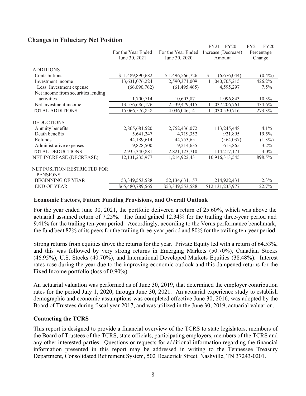#### **Changes in Fiduciary Net Position**

|                                    |                    |                    | $FY21 - FY20$       | $FY21 - FY20$ |
|------------------------------------|--------------------|--------------------|---------------------|---------------|
|                                    | For the Year Ended | For the Year Ended | Increase (Decrease) | Percentage    |
|                                    | June 30, 2021      | June 30, 2020      | Amount              | Change        |
|                                    |                    |                    |                     |               |
| <b>ADDITIONS</b>                   |                    |                    |                     |               |
| Contributions                      | 1,489,890,682      | \$1,496,566,726    | \$<br>(6,676,044)   | $(0.4\%)$     |
| Investment income                  | 13,631,076,224     | 2,590,371,009      | 11,040,705,215      | 426.2%        |
| Less: Investment expense           | (66,090,762)       | (61, 495, 465)     | 4,595,297           | 7.5%          |
| Net income from securities lending |                    |                    |                     |               |
| activities                         | 11,700,714         | 10,603,871         | 1,096,843           | 10.3%         |
| Net investment income              | 13,576,686,176     | 2,539,479,415      | 11,037,206,761      | 434.6%        |
| <b>TOTAL ADDITIONS</b>             | 15,066,576,858     | 4,036,046,141      | 11,030,530,716      | 273.3%        |
|                                    |                    |                    |                     |               |
| <b>DEDUCTIONS</b>                  |                    |                    |                     |               |
| Annuity benefits                   | 2,865,681,520      | 2,752,436,072      | 113,245,448         | 4.1%          |
| Death benefits                     | 5,641,247          | 4,719,352          | 921,895             | 19.5%         |
| Refunds                            | 44,189,614         | 44,753,651         | (564, 037)          | $(1.3\%)$     |
| Administrative expenses            | 19,828,500         | 19,214,635         | 613,865             | 3.2%          |
| <b>TOTAL DEDUCTIONS</b>            | 2,935,340,881      | 2,821,123,710      | 114,217,171         | $4.0\%$       |
| NET INCREASE (DECREASE)            | 12, 131, 235, 977  | 1,214,922,431      | 10,916,313,545      | 898.5%        |
| NET POSITION RESTRICTED FOR        |                    |                    |                     |               |
| <b>PENSIONS</b>                    |                    |                    |                     |               |
| <b>BEGINNING OF YEAR</b>           | 53, 349, 553, 588  | 52, 134, 631, 157  | 1,214,922,431       | 2.3%          |
| <b>END OF YEAR</b>                 | \$65,480,789,565   | \$53,349,553,588   | \$12,131,235,977    | 22.7%         |
|                                    |                    |                    |                     |               |

#### **Economic Factors, Future Funding Provisions, and Overall Outlook**

For the year ended June 30, 2021, the portfolio delivered a return of 25.60%, which was above the actuarial assumed return of 7.25%. The fund gained 12.34% for the trailing three-year period and 9.41% for the trailing ten-year period. Accordingly, according to the Verus performance benchmark, the fund beat 82% of its peers for the trailing three-year period and 80% for the trailing ten-year period.

Strong returns from equities drove the returns for the year. Private Equity led with a return of 64.53%, and this was followed by very strong returns in Emerging Markets (50.70%), Canadian Stocks (46.95%), U.S. Stocks (40.70%), and International Developed Markets Equities (38.48%). Interest rates rose during the year due to the improving economic outlook and this dampened returns for the Fixed Income portfolio (loss of 0.90%).

An actuarial valuation was performed as of June 30, 2019, that determined the employer contribution rates for the period July 1, 2020, through June 30, 2021. An actuarial experience study to establish demographic and economic assumptions was completed effective June 30, 2016, was adopted by the Board of Trustees during fiscal year 2017, and was utilized in the June 30, 2019, actuarial valuation.

#### **Contacting the TCRS**

This report is designed to provide a financial overview of the TCRS to state legislators, members of the Board of Trustees of the TCRS, state officials, participating employers, members of the TCRS and any other interested parties. Questions or requests for additional information regarding the financial information presented in this report may be addressed in writing to the Tennessee Treasury Department, Consolidated Retirement System, 502 Deaderick Street, Nashville, TN 37243-0201.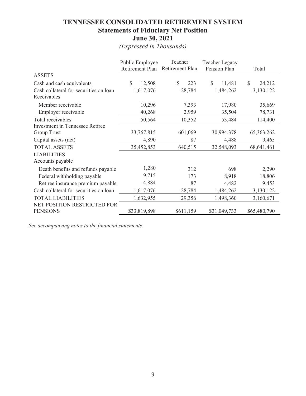# **TENNESSEE CONSOLIDATED RETIREMENT SYSTEM Statements of Fiduciary Net Position June 30, 2021**

*(Expressed in Thousands)* 

|                                                       | Public Employee        | Teacher              | <b>Teacher Legacy</b> |                        |
|-------------------------------------------------------|------------------------|----------------------|-----------------------|------------------------|
|                                                       | Retirement Plan        | Retirement Plan      | Pension Plan          | Total                  |
| <b>ASSETS</b>                                         |                        |                      |                       |                        |
| Cash and cash equivalents                             | $\mathbb{S}$<br>12,508 | $\mathcal{S}$<br>223 | \$<br>11,481          | $\mathbb{S}$<br>24,212 |
| Cash collateral for securities on loan<br>Receivables | 1,617,076              | 28,784               | 1,484,262             | 3,130,122              |
| Member receivable                                     | 10,296                 | 7,393                | 17,980                | 35,669                 |
| Employer receivable                                   | 40,268                 | 2,959                | 35,504                | 78,731                 |
| Total receivables                                     | 50,564                 | 10,352               | 53,484                | 114,400                |
| Investment in Tennessee Retiree                       |                        |                      |                       |                        |
| Group Trust                                           | 33,767,815             | 601,069              | 30,994,378            | 65, 363, 262           |
| Capital assets (net)                                  | 4,890                  | 87                   | 4,488                 | 9,465                  |
| <b>TOTAL ASSETS</b>                                   | 35,452,853             | 640,515              | 32,548,093            | 68,641,461             |
| <b>LIABILITIES</b>                                    |                        |                      |                       |                        |
| Accounts payable                                      |                        |                      |                       |                        |
| Death benefits and refunds payable                    | 1,280                  | 312                  | 698                   | 2,290                  |
| Federal withholding payable                           | 9,715                  | 173                  | 8,918                 | 18,806                 |
| Retiree insurance premium payable                     | 4,884                  | 87                   | 4,482                 | 9,453                  |
| Cash collateral for securities on loan                | 1,617,076              | 28,784               | 1,484,262             | 3,130,122              |
| <b>TOTAL LIABILITIES</b>                              | 1,632,955              | 29,356               | 1,498,360             | 3,160,671              |
| NET POSITION RESTRICTED FOR                           |                        |                      |                       |                        |
| <b>PENSIONS</b>                                       | \$33,819,898           | \$611,159            | \$31,049,733          | \$65,480,790           |

*See accompanying notes to the financial statements.*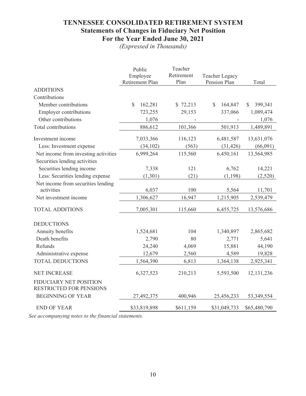# **TENNESSEE CONSOLIDATED RETIREMENT SYSTEM Statements of Changes in Fiduciary Net Position For the Year Ended June 30, 2021**

*(Expressed in Thousands)*

|                                                   | Public          | Teacher    |                       |                         |
|---------------------------------------------------|-----------------|------------|-----------------------|-------------------------|
|                                                   | Employee        | Retirement | <b>Teacher Legacy</b> |                         |
|                                                   | Retirement Plan | Plan       | Pension Plan          | Total                   |
| <b>ADDITIONS</b>                                  |                 |            |                       |                         |
| Contributions                                     |                 |            |                       |                         |
| Member contributions                              | 162,281<br>\$   | \$72,213   | 164,847<br>\$         | 399,341<br>$\mathbb{S}$ |
| <b>Employer contributions</b>                     | 723,255         | 29,153     | 337,066               | 1,089,474               |
| Other contributions                               | 1,076           |            | $\blacksquare$        | 1,076                   |
| Total contributions                               | 886,612         | 101,366    | 501,913               | 1,489,891               |
| Investment income                                 | 7,033,366       | 116,123    | 6,481,587             | 13,631,076              |
| Less: Investment expense                          | (34, 102)       | (563)      | (31, 426)             | (66,091)                |
| Net income from investing activities              | 6,999,264       | 115,560    | 6,450,161             | 13,564,985              |
| Securities lending activities                     |                 |            |                       |                         |
| Securities lending income                         | 7,338           | 121        | 6,762                 | 14,221                  |
| Less: Securities lending expense                  | (1,301)         | (21)       | (1, 198)              | (2,520)                 |
| Net income from securities lending<br>activities  | 6,037           | 100        | 5,564                 | 11,701                  |
| Net investment income                             | 1,306,627       | 16,947     | 1,215,905             | 2,539,479               |
| <b>TOTAL ADDITIONS</b>                            | 7,005,301       | 115,660    | 6,455,725             | 13,576,686              |
| <b>DEDUCTIONS</b>                                 |                 |            |                       |                         |
| Annuity benefits                                  | 1,524,681       | 104        | 1,340,897             | 2,865,682               |
| Death benefits                                    | 2,790           | 80         | 2,771                 | 5,641                   |
| Refunds                                           | 24,240          | 4,069      | 15,881                | 44,190                  |
| Administrative expense                            | 12,679          | 2,560      | 4,589                 | 19,828                  |
| <b>TOTAL DEDUCTIONS</b>                           | 1,564,390       | 6,813      | 1,364,138             | 2,925,341               |
| <b>NET INCREASE</b>                               | 6,327,523       | 210,213    | 5,593,500             | 12, 131, 236            |
| FIDUCIARY NET POSITION<br>RESTRICTED FOR PENSIONS |                 |            |                       |                         |
| <b>BEGINNING OF YEAR</b>                          | 27,492,375      | 400,946    | 25,456,233            | 53,349,554              |
| <b>END OF YEAR</b>                                | \$33,819,898    | \$611,159  | \$31,049,733          | \$65,480,790            |

*See accompanying notes to the financial statements.*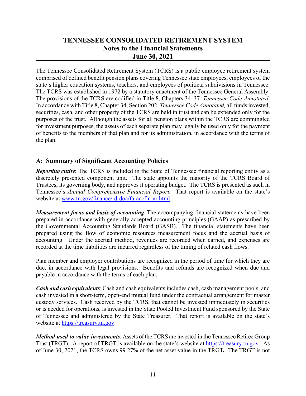# **TENNESSEE CONSOLIDATED RETIREMENT SYSTEM Notes to the Financial Statements June 30, 2021**

The Tennessee Consolidated Retirement System (TCRS) is a public employee retirement system comprised of defined benefit pension plans covering Tennessee state employees, employees of the state's higher education systems, teachers, and employees of political subdivisions in Tennessee. The TCRS was established in 1972 by a statutory enactment of the Tennessee General Assembly. The provisions of the TCRS are codified in Title 8, Chapters 34–37, *Tennessee Code Annotated*. In accordance with Title 8, Chapter 34, Section 202, *Tennessee Code Annotated,* all funds invested, securities, cash, and other property of the TCRS are held in trust and can be expended only for the purposes of the trust. Although the assets for all pension plans within the TCRS are commingled for investment purposes, the assets of each separate plan may legally be used only for the payment of benefits to the members of that plan and for its administration, in accordance with the terms of the plan.

# **A: Summary of Significant Accounting Policies**

*Reporting entity*: The TCRS is included in the State of Tennessee financial reporting entity as a discretely presented component unit. The state appoints the majority of the TCRS Board of Trustees, its governing body, and approves it operating budget. The TCRS is presented as such in Tennessee's *Annual Comprehensive Financial Report.* That report is available on the state's website at [www.tn.gov/finance/rd-doa/fa-accfin-ar.html.](http://www.tn.gov/finance/rd-doa/fa-accfin-ar.html) 

*Measurement focus and basis of accounting*: The accompanying financial statements have been prepared in accordance with generally accepted accounting principles (GAAP) as prescribed by the Governmental Accounting Standards Board (GASB). The financial statements have been prepared using the flow of economic resources measurement focus and the accrual basis of accounting. Under the accrual method, revenues are recorded when earned, and expenses are recorded at the time liabilities are incurred regardless of the timing of related cash flows.

Plan member and employer contributions are recognized in the period of time for which they are due, in accordance with legal provisions. Benefits and refunds are recognized when due and payable in accordance with the terms of each plan.

*Cash and cash equivalents*:Cash and cash equivalents includes cash, cash management pools, and cash invested in a short-term, open-end mutual fund under the contractual arrangement for master custody services. Cash received by the TCRS, that cannot be invested immediately in securities or is needed for operations, is invested in the State Pooled Investment Fund sponsored by the State of Tennessee and administered by the State Treasurer. That report is available on the state's website at [https://treasury.tn.gov.](https://treasury.tn.gov) 

*Method used to value investments*: Assets of the TCRS are invested in the Tennessee Retiree Group Trust (TRGT). A report of TRGT is available on the state's website at [https://treasury.tn.gov. A](https://treasury.tn.gov)s of June 30, 2021, the TCRS owns 99.27% of the net asset value in the TRGT*.* The TRGT is not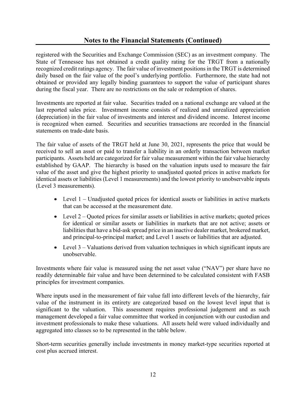registered with the Securities and Exchange Commission (SEC) as an investment company. The State of Tennessee has not obtained a credit quality rating for the TRGT from a nationally recognized credit ratings agency. The fair value of investment positions in the TRGT is determined daily based on the fair value of the pool's underlying portfolio. Furthermore, the state had not obtained or provided any legally binding guarantees to support the value of participant shares during the fiscal year. There are no restrictions on the sale or redemption of shares.

Investments are reported at fair value. Securities traded on a national exchange are valued at the last reported sales price. Investment income consists of realized and unrealized appreciation (depreciation) in the fair value of investments and interest and dividend income. Interest income is recognized when earned. Securities and securities transactions are recorded in the financial statements on trade-date basis.

The fair value of assets of the TRGT held at June 30, 2021, represents the price that would be received to sell an asset or paid to transfer a liability in an orderly transaction between market participants. Assets held are categorized for fair value measurement within the fair value hierarchy established by GAAP. The hierarchy is based on the valuation inputs used to measure the fair value of the asset and give the highest priority to unadjusted quoted prices in active markets for identical assets or liabilities (Level 1 measurements) and the lowest priority to unobservable inputs (Level 3 measurements).

- $\bullet$  Level 1 Unadjusted quoted prices for identical assets or liabilities in active markets that can be accessed at the measurement date.
- $\bullet$  Level 2 Quoted prices for similar assets or liabilities in active markets; quoted prices for identical or similar assets or liabilities in markets that are not active; assets or liabilities that have a bid-ask spread price in an inactive dealer market, brokered market, and principal-to-principal market; and Level 1 assets or liabilities that are adjusted.
- Level 3 Valuations derived from valuation techniques in which significant inputs are unobservable.

Investments where fair value is measured using the net asset value ("NAV") per share have no readily determinable fair value and have been determined to be calculated consistent with FASB principles for investment companies.

Where inputs used in the measurement of fair value fall into different levels of the hierarchy, fair value of the instrument in its entirety are categorized based on the lowest level input that is significant to the valuation. This assessment requires professional judgement and as such management developed a fair value committee that worked in conjunction with our custodian and investment professionals to make these valuations. All assets held were valued individually and aggregated into classes so to be represented in the table below.

Short-term securities generally include investments in money market-type securities reported at cost plus accrued interest.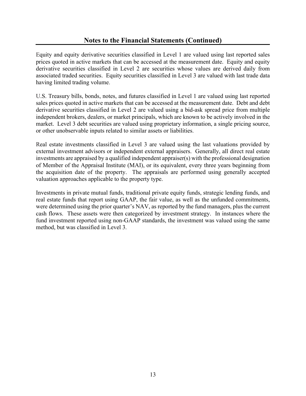Equity and equity derivative securities classified in Level 1 are valued using last reported sales prices quoted in active markets that can be accessed at the measurement date. Equity and equity derivative securities classified in Level 2 are securities whose values are derived daily from associated traded securities. Equity securities classified in Level 3 are valued with last trade data having limited trading volume.

U.S. Treasury bills, bonds, notes, and futures classified in Level 1 are valued using last reported sales prices quoted in active markets that can be accessed at the measurement date. Debt and debt derivative securities classified in Level 2 are valued using a bid-ask spread price from multiple independent brokers, dealers, or market principals, which are known to be actively involved in the market. Level 3 debt securities are valued using proprietary information, a single pricing source, or other unobservable inputs related to similar assets or liabilities.

Real estate investments classified in Level 3 are valued using the last valuations provided by external investment advisors or independent external appraisers. Generally, all direct real estate investments are appraised by a qualified independent appraiser(s) with the professional designation of Member of the Appraisal Institute (MAI), or its equivalent, every three years beginning from the acquisition date of the property. The appraisals are performed using generally accepted valuation approaches applicable to the property type.

Investments in private mutual funds, traditional private equity funds, strategic lending funds, and real estate funds that report using GAAP, the fair value, as well as the unfunded commitments, were determined using the prior quarter's NAV, as reported by the fund managers, plus the current cash flows. These assets were then categorized by investment strategy. In instances where the fund investment reported using non-GAAP standards, the investment was valued using the same method, but was classified in Level 3.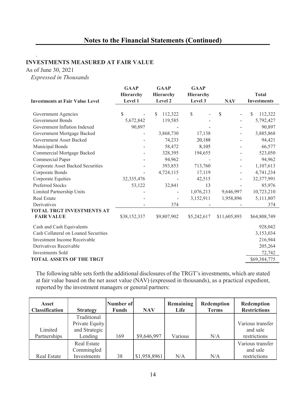#### **INVESTMENTS MEASURED AT FAIR VALUE**

As of June 30, 2021

.

*Expressed in Thousands*

| <b>GAAP</b>  | <b>GAAP</b>              | <b>GAAP</b>      |                          |                    |
|--------------|--------------------------|------------------|--------------------------|--------------------|
| Hierarchy    | <b>Hierarchy</b>         | <b>Hierarchy</b> |                          | <b>Total</b>       |
| Level 1      | Level 2                  | Level 3          | <b>NAV</b>               | <b>Investments</b> |
|              |                          |                  |                          |                    |
| \$           | 112,322<br>\$            | $\mathbb{S}$     | \$                       | \$<br>112,322      |
| 5,672,842    | 119,585                  |                  |                          | 5,792,427          |
| 90,897       |                          |                  |                          | 90,897             |
|              | 3,868,730                | 17,138           | $\overline{\phantom{a}}$ | 3,885,868          |
|              | 74,233                   | 20,188           |                          | 94,421             |
|              | 58,472                   | 8,105            |                          | 66,577             |
|              | 328,395                  | 194,655          |                          | 523,050            |
|              | 94,962                   |                  |                          | 94,962             |
|              | 393,853                  | 713,760          |                          | 1,107,613          |
|              | 4,724,115                | 17,119           |                          | 4,741,234          |
| 32,335,476   |                          | 42,515           |                          | 32,377,991         |
| 53,122       | 32,841                   | 13               |                          | 85,976             |
|              |                          | 1,076,213        | 9,646,997                | 10,723,210         |
|              | $\overline{\phantom{a}}$ | 3,152,911        | 1,958,896                | 5,111,807          |
|              | 374                      |                  |                          | 374                |
|              |                          |                  |                          |                    |
| \$38,152,337 | \$9,807,902              | \$5,242,617      | \$11,605,893             | \$64,808,749       |
|              |                          |                  |                          | 928,042            |
|              |                          |                  |                          | 3,153,034          |
|              |                          |                  |                          | 216,944            |
|              |                          |                  |                          | 205,264            |
|              |                          |                  |                          | 72,742             |
|              |                          |                  |                          | \$69,384,775       |
|              |                          |                  |                          |                    |

The following table sets forth the additional disclosures of the TRGT's investments, which are stated at fair value based on the net asset value (NAV) (expressed in thousands), as a practical expedient, reported by the investment managers or general partners:

| <b>Asset</b><br><b>Classification</b> | <b>Strategy</b>                                           | Number of<br><b>Funds</b> | <b>NAV</b>   | <b>Remaining</b><br>Life | Redemption<br><b>Terms</b> | Redemption<br><b>Restrictions</b>            |
|---------------------------------------|-----------------------------------------------------------|---------------------------|--------------|--------------------------|----------------------------|----------------------------------------------|
| Limited<br>Partnerships               | Traditional<br>Private Equity<br>and Strategic<br>Lending | 169                       | \$9,646,997  | Various                  | N/A                        | Various transfer<br>and sale<br>restrictions |
| <b>Real Estate</b>                    | Real Estate<br>Commingled<br>Investments                  | 38                        | \$1,958,8961 | N/A                      | N/A                        | Various transfer<br>and sale<br>restrictions |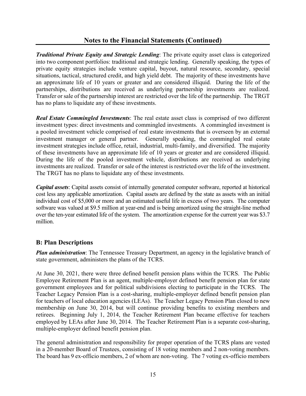### **Notes to the Financial Statements (Continued)**

*Traditional Private Equity and Strategic Lending*: The private equity asset class is categorized into two component portfolios: traditional and strategic lending. Generally speaking, the types of private equity strategies include venture capital, buyout, natural resource, secondary, special situations, tactical, structured credit, and high yield debt. The majority of these investments have an approximate life of 10 years or greater and are considered illiquid. During the life of the partnerships, distributions are received as underlying partnership investments are realized. Transfer or sale of the partnership interest are restricted over the life of the partnership. The TRGT has no plans to liquidate any of these investments.

*Real Estate Commingled Investments*: The real estate asset class is comprised of two different investment types: direct investments and commingled investments. A commingled investment is a pooled investment vehicle comprised of real estate investments that is overseen by an external investment manager or general partner. Generally speaking, the commingled real estate investment strategies include office, retail, industrial, multi-family, and diversified. The majority of these investments have an approximate life of 10 years or greater and are considered illiquid. During the life of the pooled investment vehicle, distributions are received as underlying investments are realized. Transfer or sale of the interest is restricted over the life of the investment. The TRGT has no plans to liquidate any of these investments.

*Capital assets*: Capital assets consist of internally generated computer software, reported at historical cost less any applicable amortization. Capital assets are defined by the state as assets with an initial individual cost of \$5,000 or more and an estimated useful life in excess of two years. The computer software was valued at \$9.5 million at year-end and is being amortized using the straight-line method over the ten-year estimated life of the system. The amortization expense for the current year was \$3.7 million.

# **B: Plan Descriptions**

*Plan administration*: The Tennessee Treasury Department, an agency in the legislative branch of state government, administers the plans of the TCRS.

At June 30, 2021, there were three defined benefit pension plans within the TCRS. The Public Employee Retirement Plan is an agent, multiple-employer defined benefit pension plan for state government employees and for political subdivisions electing to participate in the TCRS. The Teacher Legacy Pension Plan is a cost-sharing, multiple-employer defined benefit pension plan for teachers of local education agencies (LEAs). The Teacher Legacy Pension Plan closed to new membership on June 30, 2014, but will continue providing benefits to existing members and retirees. Beginning July 1, 2014, the Teacher Retirement Plan became effective for teachers employed by LEAs after June 30, 2014. The Teacher Retirement Plan is a separate cost-sharing, multiple-employer defined benefit pension plan.

The general administration and responsibility for proper operation of the TCRS plans are vested in a 20-member Board of Trustees, consisting of 18 voting members and 2 non-voting members. The board has 9 ex-officio members, 2 of whom are non-voting. The 7 voting ex-officio members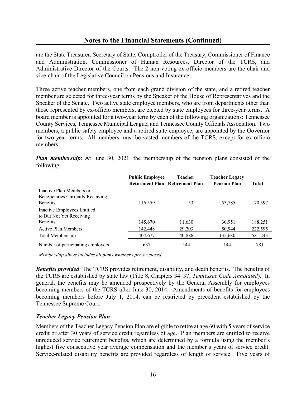are the State Treasurer, Secretary of State, Comptroller of the Treasury, Commissioner of Finance and Administration, Commissioner of Human Resources, Director of the TCRS, and Administrative Director of the Courts. The 2 non-voting ex-officio members are the chair and vice-chair of the Legislative Council on Pensions and Insurance.

Three active teacher members, one from each grand division of the state, and a retired teacher member are selected for three-year terms by the Speaker of the House of Representatives and the Speaker of the Senate. Two active state employee members, who are from departments other than those represented by ex-officio members, are elected by state employees for three-year terms. A board member is appointed for a two-year term by each of the following organizations: Tennessee County Services, Tennessee Municipal League, and Tennessee County Officials Association. Two members, a public safety employee and a retired state employee, are appointed by the Governor for two-year terms. All members must be vested members of the TCRS, except for ex-officio members.

*Plan membership*: At June 30, 2021, the membership of the pension plans consisted of the following:

|                                                         | <b>Public Employee</b> | <b>Teacher</b><br><b>Retirement Plan Retirement Plan</b> | <b>Teacher Legacy</b><br><b>Pension Plan</b> | Total   |
|---------------------------------------------------------|------------------------|----------------------------------------------------------|----------------------------------------------|---------|
| Inactive Plan Members or                                |                        |                                                          |                                              |         |
| Beneficiaries Currently Receiving                       |                        |                                                          |                                              |         |
| <b>Benefits</b>                                         | 116,559                | 53                                                       | 53,785                                       | 170,397 |
| Inactive Employees Entitled<br>to But Not Yet Receiving |                        |                                                          |                                              |         |
| <b>Benefits</b>                                         | 145,670                | 11,630                                                   | 30.951                                       | 188,251 |
| Active Plan Members                                     | 142,448                | 29,203                                                   | 50,944                                       | 222,595 |
| Total Membership                                        | 404,677                | 40,886                                                   | 135,680                                      | 581,243 |
| Number of participating employers                       | 637                    | 144                                                      | 144                                          | 781     |

*Membership above includes all plans whether open or closed.* 

*Benefits provided*: The TCRS provides retirement, disability, and death benefits. The benefits of the TCRS are established by state law (Title 8, Chapters 34–37, *Tennessee Code Annotated*). In general, the benefits may be amended prospectively by the General Assembly for employees becoming members of the TCRS after June 30, 2014. Amendments of benefits for employees becoming members before July 1, 2014, can be restricted by precedent established by the Tennessee Supreme Court.

#### *Teacher Legacy Pension Plan*

Members of the Teacher Legacy Pension Plan are eligible to retire at age 60 with 5 years of service credit or after 30 years of service credit regardless of age. Plan members are entitled to receive unreduced service retirement benefits, which are determined by a formula using the member's highest five consecutive year average compensation and the member's years of service credit. Service-related disability benefits are provided regardless of length of service. Five years of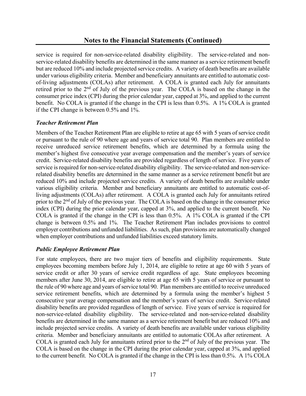service is required for non-service-related disability eligibility. The service-related and nonservice-related disability benefits are determined in the same manner as a service retirement benefit but are reduced 10% and include projected service credits. A variety of death benefits are available under various eligibility criteria. Member and beneficiary annuitants are entitled to automatic costof-living adjustments (COLAs) after retirement. A COLA is granted each July for annuitants retired prior to the  $2<sup>nd</sup>$  of July of the previous year. The COLA is based on the change in the consumer price index (CPI) during the prior calendar year, capped at 3%, and applied to the current benefit. No COLA is granted if the change in the CPI is less than 0.5%. A 1% COLA is granted if the CPI change is between 0.5% and 1%.

#### *Teacher Retirement Plan*

Members of the Teacher Retirement Plan are eligible to retire at age 65 with 5 years of service credit or pursuant to the rule of 90 where age and years of service total 90. Plan members are entitled to receive unreduced service retirement benefits, which are determined by a formula using the member's highest five consecutive year average compensation and the member's years of service credit. Service-related disability benefits are provided regardless of length of service. Five years of service is required for non-service-related disability eligibility. The service-related and non-servicerelated disability benefits are determined in the same manner as a service retirement benefit but are reduced 10% and include projected service credits. A variety of death benefits are available under various eligibility criteria. Member and beneficiary annuitants are entitled to automatic cost-ofliving adjustments (COLAs) after retirement. A COLA is granted each July for annuitants retired prior to the 2<sup>nd</sup> of July of the previous year. The COLA is based on the change in the consumer price index (CPI) during the prior calendar year, capped at 3%, and applied to the current benefit. No COLA is granted if the change in the CPI is less than 0.5%. A 1% COLA is granted if the CPI change is between 0.5% and 1%. The Teacher Retirement Plan includes provisions to control employer contributions and unfunded liabilities. As such, plan provisions are automatically changed when employer contributions and unfunded liabilities exceed statutory limits.

#### *Public Employee Retirement Plan*

For state employees, there are two major tiers of benefits and eligibility requirements. State employees becoming members before July 1, 2014, are eligible to retire at age 60 with 5 years of service credit or after 30 years of service credit regardless of age. State employees becoming members after June 30, 2014, are eligible to retire at age 65 with 5 years of service or pursuant to the rule of 90 where age and years of service total 90. Plan members are entitled to receive unreduced service retirement benefits, which are determined by a formula using the member's highest 5 consecutive year average compensation and the member's years of service credit. Service-related disability benefits are provided regardless of length of service. Five years of service is required for non-service-related disability eligibility. The service-related and non-service-related disability benefits are determined in the same manner as a service retirement benefit but are reduced 10% and include projected service credits. A variety of death benefits are available under various eligibility criteria. Member and beneficiary annuitants are entitled to automatic COLAs after retirement. A COLA is granted each July for annuitants retired prior to the 2<sup>nd</sup> of July of the previous year. The COLA is based on the change in the CPI during the prior calendar year, capped at 3%, and applied to the current benefit. No COLA is granted if the change in the CPI is less than 0.5%. A 1% COLA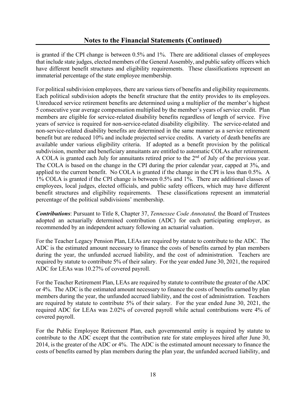is granted if the CPI change is between 0.5% and 1%. There are additional classes of employees that include state judges, elected members of the General Assembly, and public safety officers which have different benefit structures and eligibility requirements. These classifications represent an immaterial percentage of the state employee membership.

For political subdivision employees, there are various tiers of benefits and eligibility requirements. Each political subdivision adopts the benefit structure that the entity provides to its employees. Unreduced service retirement benefits are determined using a multiplier of the member's highest 5 consecutive year average compensation multiplied by the member's years of service credit. Plan members are eligible for service-related disability benefits regardless of length of service. Five years of service is required for non-service-related disability eligibility. The service-related and non-service-related disability benefits are determined in the same manner as a service retirement benefit but are reduced 10% and include projected service credits. A variety of death benefits are available under various eligibility criteria. If adopted as a benefit provision by the political subdivision, member and beneficiary annuitants are entitled to automatic COLAs after retirement. A COLA is granted each July for annuitants retired prior to the  $2<sup>nd</sup>$  of July of the previous year. The COLA is based on the change in the CPI during the prior calendar year, capped at 3%, and applied to the current benefit. No COLA is granted if the change in the CPI is less than 0.5%. A 1% COLA is granted if the CPI change is between 0.5% and 1%. There are additional classes of employees, local judges, elected officials, and public safety officers, which may have different benefit structures and eligibility requirements. These classifications represent an immaterial percentage of the political subdivisions' membership.

*Contributions*: Pursuant to Title 8, Chapter 37, *Tennessee Code Annotated,* the Board of Trustees adopted an actuarially determined contribution (ADC) for each participating employer, as recommended by an independent actuary following an actuarial valuation.

For the Teacher Legacy Pension Plan, LEAs are required by statute to contribute to the ADC. The ADC is the estimated amount necessary to finance the costs of benefits earned by plan members during the year, the unfunded accrued liability, and the cost of administration. Teachers are required by statute to contribute 5% of their salary. For the year ended June 30, 2021, the required ADC for LEAs was 10.27% of covered payroll.

For the Teacher Retirement Plan, LEAs are required by statute to contribute the greater of the ADC or 4%. The ADC is the estimated amount necessary to finance the costs of benefits earned by plan members during the year, the unfunded accrued liability, and the cost of administration. Teachers are required by statute to contribute 5% of their salary. For the year ended June 30, 2021, the required ADC for LEAs was 2.02% of covered payroll while actual contributions were 4% of covered payroll.

For the Public Employee Retirement Plan, each governmental entity is required by statute to contribute to the ADC except that the contribution rate for state employees hired after June 30, 2014, is the greater of the ADC or 4%. The ADC is the estimated amount necessary to finance the costs of benefits earned by plan members during the plan year, the unfunded accrued liability, and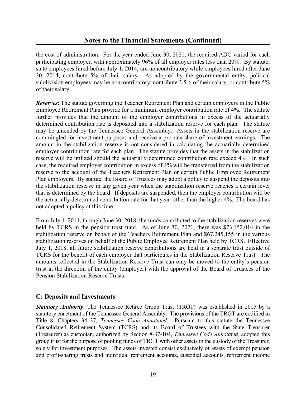the cost of administration. For the year ended June 30, 2021, the required ADC varied for each participating employer, with approximately 96% of all employer rates less than 20%. By statute, state employees hired before July 1, 2014, are noncontributory while employees hired after June 30, 2014, contribute 5% of their salary. As adopted by the governmental entity, political subdivision employees may be noncontributory, contribute 2.5% of their salary, or contribute 5% of their salary.

*Reserves*: The statute governing the Teacher Retirement Plan and certain employers in the Public Employee Retirement Plan provide for a minimum employer contribution rate of 4%. The statute further provides that the amount of the employer contributions in excess of the actuarially determined contribution rate is deposited into a stabilization reserve for each plan. The statute may be amended by the Tennessee General Assembly. Assets in the stabilization reserve are commingled for investment purposes and receive a pro rata share of investment earnings. The amount in the stabilization reserve is not considered in calculating the actuarially determined employer contribution rate for each plan. The statute provides that the assets in the stabilization reserve will be utilized should the actuarially determined contribution rate exceed 4%. In such case, the required employer contribution in excess of 4% will be transferred from the stabilization reserve to the account of the Teachers Retirement Plan or certain Public Employee Retirement Plan employers. By statute, the Board of Trustees may adopt a policy to suspend the deposits into the stabilization reserve in any given year when the stabilization reserve reaches a certain level that is determined by the board. If deposits are suspended, then the employer contribution will be the actuarially determined contribution rate for that year rather than the higher 4%. The board has not adopted a policy at this time.

From July 1, 2014, through June 30, 2018, the funds contributed to the stabilization reserves were held by TCRS in the pension trust fund. As of June 30, 2021, there was \$73,152,014 in the stabilization reserve on behalf of the Teachers Retirement Plan and \$67,245,155 in the various stabilization reserves on behalf of the Public Employee Retirement Plan held by TCRS. Effective July 1, 2018, all future stabilization reserve contributions are held in a separate trust outside of TCRS for the benefit of each employer that participates in the Stabilization Reserve Trust. The amounts reflected in the Stabilization Reserve Trust can only be moved to the entity's pension trust at the direction of the entity (employer) with the approval of the Board of Trustees of the Pension Stabilization Reserve Trusts.

# **C: Deposits and Investments**

*Statutory Authority*: The Tennessee Retiree Group Trust (TRGT) was established in 2015 by a statutory enactment of the Tennessee General Assembly. The provisions of the TRGT are codified in Title 8, Chapters 34–37, *Tennessee Code Annotated*. Pursuant to this statute the Tennessee Consolidated Retirement System (TCRS) and its Board of Trustees with the State Treasurer (Treasurer) as custodian, authorized by Section 8-37-104, *Tennessee Code Annotated,* adopted this group trust for the purpose of pooling funds of TRGT with other assets in the custody of the Treasurer, solely for investment purposes. The assets invested consist exclusively of assets of exempt pension and profit-sharing trusts and individual retirement accounts, custodial accounts, retirement income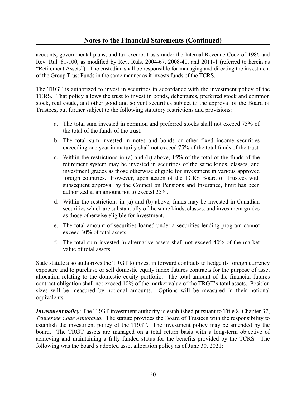accounts, governmental plans, and tax-exempt trusts under the Internal Revenue Code of 1986 and Rev. Rul. 81-100, as modified by Rev. Ruls. 2004-67, 2008-40, and 2011-1 (referred to herein as "Retirement Assets"). The custodian shall be responsible for managing and directing the investment of the Group Trust Funds in the same manner as it invests funds of the TCRS.

The TRGT is authorized to invest in securities in accordance with the investment policy of the TCRS. That policy allows the trust to invest in bonds, debentures, preferred stock and common stock, real estate, and other good and solvent securities subject to the approval of the Board of Trustees, but further subject to the following statutory restrictions and provisions:

- a. The total sum invested in common and preferred stocks shall not exceed 75% of the total of the funds of the trust.
- b. The total sum invested in notes and bonds or other fixed income securities exceeding one year in maturity shall not exceed 75% of the total funds of the trust.
- c. Within the restrictions in (a) and (b) above, 15% of the total of the funds of the retirement system may be invested in securities of the same kinds, classes, and investment grades as those otherwise eligible for investment in various approved foreign countries. However, upon action of the TCRS Board of Trustees with subsequent approval by the Council on Pensions and Insurance, limit has been authorized at an amount not to exceed 25%.
- d. Within the restrictions in (a) and (b) above, funds may be invested in Canadian securities which are substantially of the same kinds, classes, and investment grades as those otherwise eligible for investment.
- e. The total amount of securities loaned under a securities lending program cannot exceed 30% of total assets.
- f. The total sum invested in alternative assets shall not exceed 40% of the market value of total assets.

State statute also authorizes the TRGT to invest in forward contracts to hedge its foreign currency exposure and to purchase or sell domestic equity index futures contracts for the purpose of asset allocation relating to the domestic equity portfolio. The total amount of the financial futures contract obligation shall not exceed 10% of the market value of the TRGT's total assets. Position sizes will be measured by notional amounts. Options will be measured in their notional equivalents.

*Investment policy*: The TRGT investment authority is established pursuant to Title 8, Chapter 37, *Tennessee Code Annotated*. The statute provides the Board of Trustees with the responsibility to establish the investment policy of the TRGT. The investment policy may be amended by the board. The TRGT assets are managed on a total return basis with a long-term objective of achieving and maintaining a fully funded status for the benefits provided by the TCRS. The following was the board's adopted asset allocation policy as of June 30, 2021: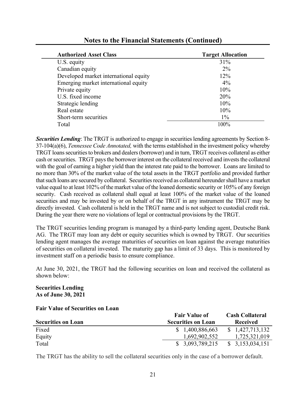| <b>Authorized Asset Class</b>         | <b>Target Allocation</b> |
|---------------------------------------|--------------------------|
| U.S. equity                           | 31%                      |
| Canadian equity                       | $2\%$                    |
| Developed market international equity | $12\%$                   |
| Emerging market international equity  | $4\%$                    |
| Private equity                        | 10%                      |
| U.S. fixed income                     | 20%                      |
| Strategic lending                     | 10%                      |
| Real estate                           | 10%                      |
| Short-term securities                 | $1\%$                    |
| Total                                 | 100%                     |

#### **Notes to the Financial Statements (Continued)**

*Securities Lending*: The TRGT is authorized to engage in securities lending agreements by Section 8-37-104(a)(6), *Tennessee Code Annotated,* with the terms established in the investment policy whereby TRGT loans securities to brokers and dealers (borrower) and in turn, TRGT receives collateral as either cash or securities. TRGT pays the borrower interest on the collateral received and invests the collateral with the goal of earning a higher yield than the interest rate paid to the borrower. Loans are limited to no more than 30% of the market value of the total assets in the TRGT portfolio and provided further that such loans are secured by collateral. Securities received as collateral hereunder shall have a market value equal to at least 102% of the market value of the loaned domestic security or 105% of any foreign security. Cash received as collateral shall equal at least 100% of the market value of the loaned securities and may be invested by or on behalf of the TRGT in any instrument the TRGT may be directly invested. Cash collateral is held in the TRGT name and is not subject to custodial credit risk. During the year there were no violations of legal or contractual provisions by the TRGT.

The TRGT securities lending program is managed by a third-party lending agent, Deutsche Bank AG. The TRGT may loan any debt or equity securities which is owned by TRGT. Our securities lending agent manages the average maturities of securities on loan against the average maturities of securities on collateral invested. The maturity gap has a limit of 33 days. This is monitored by investment staff on a periodic basis to ensure compliance.

At June 30, 2021, the TRGT had the following securities on loan and received the collateral as shown below:

# **Securities Lending As of June 30, 2021**

#### **Fair Value of Securities on Loan**

|                           | <b>Fair Value of</b>      | <b>Cash Collateral</b> |  |  |
|---------------------------|---------------------------|------------------------|--|--|
| <b>Securities on Loan</b> | <b>Securities on Loan</b> | <b>Received</b>        |  |  |
| Fixed                     | \$1,400,886,663           | \$1,427,713,132        |  |  |
| Equity                    | 1,692,902,552             | 1,725,321,019          |  |  |
| Total                     | \$ 3,093,789,215          | \$3,153,034,151        |  |  |

The TRGT has the ability to sell the collateral securities only in the case of a borrower default.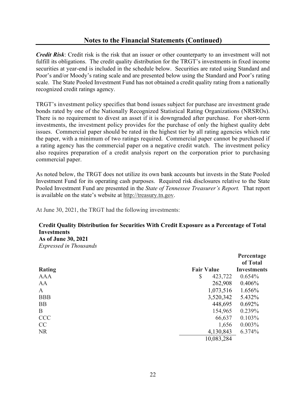*Credit Risk*: Credit risk is the risk that an issuer or other counterparty to an investment will not fulfill its obligations. The credit quality distribution for the TRGT's investments in fixed income securities at year-end is included in the schedule below. Securities are rated using Standard and Poor's and/or Moody's rating scale and are presented below using the Standard and Poor's rating scale. The State Pooled Investment Fund has not obtained a credit quality rating from a nationally recognized credit ratings agency.

TRGT's investment policy specifies that bond issues subject for purchase are investment grade bonds rated by one of the Nationally Recognized Statistical Rating Organizations (NRSROs). There is no requirement to divest an asset if it is downgraded after purchase. For short-term investments, the investment policy provides for the purchase of only the highest quality debt issues. Commercial paper should be rated in the highest tier by all rating agencies which rate the paper, with a minimum of two ratings required. Commercial paper cannot be purchased if a rating agency has the commercial paper on a negative credit watch. The investment policy also requires preparation of a credit analysis report on the corporation prior to purchasing commercial paper.

As noted below, the TRGT does not utilize its own bank accounts but invests in the State Pooled Investment Fund for its operating cash purposes. Required risk disclosures relative to the State Pooled Investment Fund are presented in the *State of Tennessee Treasurer's Report.* That report is available on the state's website at [http://treasury.tn.gov.](http://treasury.tn.gov) 

At June 30, 2021, the TRGT had the following investments:

#### **Credit Quality Distribution for Securities With Credit Exposure as a Percentage of Total Investments As of June 30, 2021**

*Expressed in Thousands* 

|               |                   | Percentage<br>of Total |
|---------------|-------------------|------------------------|
| <b>Rating</b> | <b>Fair Value</b> | <b>Investments</b>     |
| <b>AAA</b>    | \$<br>423,722     | 0.654%                 |
| AA            | 262,908           | 0.406%                 |
| A             | 1,073,516         | 1.656%                 |
| <b>BBB</b>    | 3,520,342         | 5.432%                 |
| <b>BB</b>     | 448,695           | 0.692%                 |
| B             | 154,965           | 0.239%                 |
| <b>CCC</b>    | 66,637            | 0.103%                 |
| CC            | 1,656             | 0.003%                 |
| <b>NR</b>     | 4,130,843         | 6.374%                 |
|               | 10,083,284        |                        |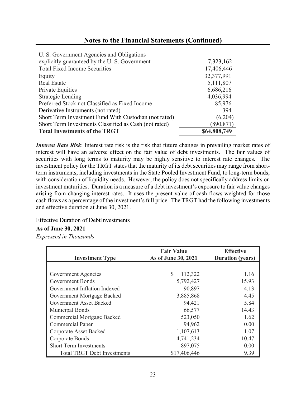| <b>Notes to the Financial Statements (Continued)</b> |  |  |
|------------------------------------------------------|--|--|
|                                                      |  |  |

| Derivative Instruments (not rated)<br>Short Term Investment Fund With Custodian (not rated) | (6,204)       |
|---------------------------------------------------------------------------------------------|---------------|
| Preferred Stock not Classified as Fixed Income                                              | 85,976<br>394 |
| Strategic Lending                                                                           | 4,036,994     |
| <b>Private Equities</b>                                                                     | 6,686,216     |
| <b>Real Estate</b>                                                                          | 5,111,807     |
| Equity                                                                                      | 32,377,991    |
| <b>Total Fixed Income Securities</b>                                                        | 17,406,446    |
| explicitly guaranteed by the U.S. Government                                                | 7,323,162     |
| U. S. Government Agencies and Obligations                                                   |               |

*Interest Rate Risk*: Interest rate risk is the risk that future changes in prevailing market rates of interest will have an adverse effect on the fair value of debt investments. The fair values of securities with long terms to maturity may be highly sensitive to interest rate changes. The investment policy for the TRGT states that the maturity of its debt securities may range from shortterm instruments, including investments in the State Pooled Investment Fund, to long-term bonds, with consideration of liquidity needs. However, the policy does not specifically address limits on investment maturities. Duration is a measure of a debt investment's exposure to fair value changes arising from changing interest rates. It uses the present value of cash flows weighted for those cash flows as a percentage of the investment's full price. The TRGT had the following investments and effective duration at June 30, 2021.

#### Effective Duration of Debt Investments

#### **As of June 30, 2021**

*Expressed in Thousands* 

| <b>Investment Type</b>             | <b>Fair Value</b><br>As of June 30, 2021 | <b>Effective</b><br><b>Duration</b> (years) |
|------------------------------------|------------------------------------------|---------------------------------------------|
|                                    |                                          |                                             |
| Government Agencies                | S.<br>112,322                            | 1.16                                        |
| Government Bonds                   | 5,792,427                                | 15.93                                       |
| Government Inflation Indexed       | 90,897                                   | 4.13                                        |
| Government Mortgage Backed         | 3,885,868                                | 4.45                                        |
| <b>Government Asset Backed</b>     | 94,421                                   | 5.84                                        |
| Municipal Bonds                    | 66,577                                   | 14.43                                       |
| <b>Commercial Mortgage Backed</b>  | 523,050                                  | 1.62                                        |
| Commercial Paper                   | 94,962                                   | 0.00                                        |
| Corporate Asset Backed             | 1,107,613                                | 1.07                                        |
| Corporate Bonds                    | 4,741,234                                | 10.47                                       |
| <b>Short Term Investments</b>      | 897,075                                  | 0.00                                        |
| <b>Total TRGT Debt Investments</b> | \$17,406,446                             | 9.39                                        |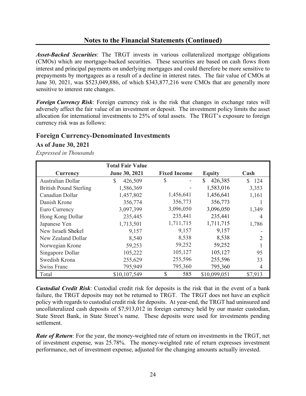# **Notes to the Financial Statements (Continued)**

*Asset-Backed Securities*: The TRGT invests in various collateralized mortgage obligations (CMOs) which are mortgage-backed securities. These securities are based on cash flows from interest and principal payments on underlying mortgages and could therefore be more sensitive to prepayments by mortgagees as a result of a decline in interest rates. The fair value of CMOs at June 30, 2021, was \$523,049,886, of which \$343,877,216 were CMOs that are generally more sensitive to interest rate changes.

*Foreign Currency Risk:* Foreign currency risk is the risk that changes in exchange rates will adversely affect the fair value of an investment or deposit. The investment policy limits the asset allocation for international investments to 25% of total assets. The TRGT's exposure to foreign currency risk was as follows:

# **Foreign Currency-Denominated Investments**

#### **As of June 30, 2021**

*Expressed in Thousands* 

|                               | <b>Total Fair Value</b> |                     |               |                     |
|-------------------------------|-------------------------|---------------------|---------------|---------------------|
| Currency                      | June 30, 2021           | <b>Fixed Income</b> | <b>Equity</b> | Cash                |
| Australian Dollar             | 426,509                 |                     | \$<br>426,385 | 124<br>$\mathbb{S}$ |
| <b>British Pound Sterling</b> | 1,586,369               |                     | 1,583,016     | 3,353               |
| Canadian Dollar               | 1,457,802               | 1,456,641           | 1,456,641     | 1,161               |
| Danish Krone                  | 356,774                 | 356,773             | 356,773       |                     |
| Euro Currency                 | 3,097,399               | 3,096,050           | 3,096,050     | 1,349               |
| Hong Kong Dollar              | 235,445                 | 235,441             | 235,441       | 4                   |
| Japanese Yen                  | 1,713,501               | 1,711,715           | 1,711,715     | 1,786               |
| New Israeli Shekel            | 9,157                   | 9,157               | 9,157         |                     |
| New Zealand Dollar            | 8,540                   | 8,538               | 8,538         | $\overline{2}$      |
| Norwegian Krone               | 59,253                  | 59,252              | 59,252        |                     |
| Singapore Dollar              | 105,222                 | 105,127             | 105,127       | 95                  |
| Swedish Krona                 | 255,629                 | 255,596             | 255,596       | 33                  |
| Swiss Franc                   | 795,949                 | 795,360             | 795,360       | 4                   |
| Total                         | \$10,107,549            | \$<br>585           | \$10,099,051  | \$7,913             |

*Custodial Credit Risk*: Custodial credit risk for deposits is the risk that in the event of a bank failure, the TRGT deposits may not be returned to TRGT. The TRGT does not have an explicit policy with regards to custodial credit risk for deposits. At year-end, the TRGT had uninsured and uncollateralized cash deposits of \$7,913,012 in foreign currency held by our master custodian, State Street Bank, in State Street's name. These deposits were used for investments pending settlement.

*Rate of Return*: For the year, the money-weighted rate of return on investments in the TRGT, net of investment expense, was 25.78%. The money-weighted rate of return expresses investment performance, net of investment expense, adjusted for the changing amounts actually invested.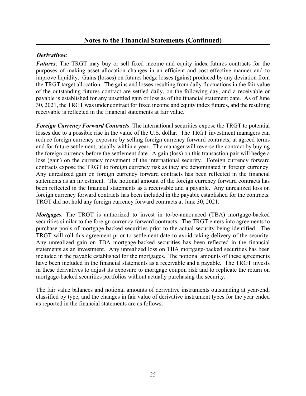#### **Derivatives:**

*Futures*: The TRGT may buy or sell fixed income and equity index futures contracts for the purposes of making asset allocation changes in an efficient and cost-effective manner and to improve liquidity. Gains (losses) on futures hedge losses (gains) produced by any deviation from the TRGT target allocation. The gains and losses resulting from daily fluctuations in the fair value of the outstanding futures contract are settled daily, on the following day, and a receivable or payable is established for any unsettled gain or loss as of the financial statement date. As of June 30, 2021, the TRGT was under contract for fixed income and equity index futures, and the resulting receivable is reflected in the financial statements at fair value.

*Foreign Currency Forward Contracts*: The international securities expose the TRGT to potential losses due to a possible rise in the value of the U.S. dollar. The TRGT investment managers can reduce foreign currency exposure by selling foreign currency forward contracts, at agreed terms and for future settlement, usually within a year. The manager will reverse the contract by buying the foreign currency before the settlement date. A gain (loss) on this transaction pair will hedge a loss (gain) on the currency movement of the international security. Foreign currency forward contracts expose the TRGT to foreign currency risk as they are denominated in foreign currency. Any unrealized gain on foreign currency forward contracts has been reflected in the financial statements as an investment. The notional amount of the foreign currency forward contracts has been reflected in the financial statements as a receivable and a payable. Any unrealized loss on foreign currency forward contracts has been included in the payable established for the contracts. TRGT did not hold any foreign currency forward contracts at June 30, 2021.

*Mortgages*: The TRGT is authorized to invest in to-be-announced (TBA) mortgage-backed securities similar to the foreign currency forward contracts. The TRGT enters into agreements to purchase pools of mortgage-backed securities prior to the actual security being identified. The TRGT will roll this agreement prior to settlement date to avoid taking delivery of the security. Any unrealized gain on TBA mortgage-backed securities has been reflected in the financial statements as an investment. Any unrealized loss on TBA mortgage-backed securities has been included in the payable established for the mortgages. The notional amounts of these agreements have been included in the financial statements as a receivable and a payable. The TRGT invests in these derivatives to adjust its exposure to mortgage coupon risk and to replicate the return on mortgage-backed securities portfolios without actually purchasing the security.

The fair value balances and notional amounts of derivative instruments outstanding at year-end, classified by type, and the changes in fair value of derivative instrument types for the year ended as reported in the financial statements are as follows: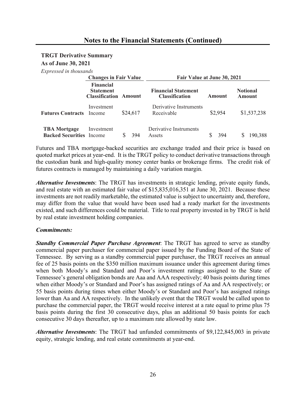# **Notes to the Financial Statements (Continued)**

#### **TRGT Derivative Summary**

#### **As of June 30, 2021**

*Expressed in thousands*

|                                                        | <b>Changes in Fair Value</b>                                         |          | Fair Value at June 30, 2021                         |         |                                  |  |
|--------------------------------------------------------|----------------------------------------------------------------------|----------|-----------------------------------------------------|---------|----------------------------------|--|
|                                                        | <b>Financial</b><br><b>Statement</b><br><b>Classification Amount</b> |          | <b>Financial Statement</b><br><b>Classification</b> | Amount  | <b>Notional</b><br><b>Amount</b> |  |
| <b>Futures Contracts</b>                               | Investment<br>Income                                                 | \$24,617 | Derivative Instruments<br>Receivable                | \$2,954 | \$1,537,238                      |  |
| <b>TBA</b> Mortgage<br><b>Backed Securities</b> Income | Investment                                                           | 394      | Derivative Instruments<br>Assets                    | 394     | 190,388                          |  |

Futures and TBA mortgage-backed securities are exchange traded and their price is based on quoted market prices at year-end. It is the TRGT policy to conduct derivative transactions through the custodian bank and high-quality money center banks or brokerage firms. The credit risk of futures contracts is managed by maintaining a daily variation margin.

*Alternative Investments*: The TRGT has investments in strategic lending, private equity funds, and real estate with an estimated fair value of \$15,835,016,351 at June 30, 2021. Because these investments are not readily marketable, the estimated value is subject to uncertainty and, therefore, may differ from the value that would have been used had a ready market for the investments existed, and such differences could be material. Title to real property invested in by TRGT is held by real estate investment holding companies.

#### *Commitments:*

*Standby Commercial Paper Purchase Agreement*: The TRGT has agreed to serve as standby commercial paper purchaser for commercial paper issued by the Funding Board of the State of Tennessee. By serving as a standby commercial paper purchaser, the TRGT receives an annual fee of 25 basis points on the \$350 million maximum issuance under this agreement during times when both Moody's and Standard and Poor's investment ratings assigned to the State of Tennessee's general obligation bonds are Aaa and AAA respectively; 40 basis points during times when either Moody's or Standard and Poor's has assigned ratings of Aa and AA respectively; or 55 basis points during times when either Moody's or Standard and Poor's has assigned ratings lower than Aa and AA respectively. In the unlikely event that the TRGT would be called upon to purchase the commercial paper, the TRGT would receive interest at a rate equal to prime plus 75 basis points during the first 30 consecutive days, plus an additional 50 basis points for each consecutive 30 days thereafter, up to a maximum rate allowed by state law.

*Alternative Investments*: The TRGT had unfunded commitments of \$9,122,845,003 in private equity, strategic lending, and real estate commitments at year-end.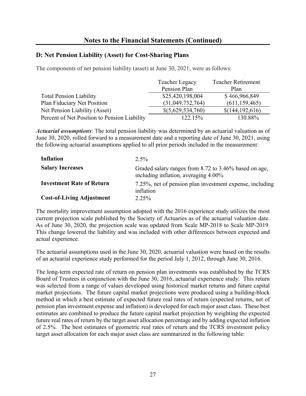#### **D: Net Pension Liability (Asset) for Cost-Sharing Plans**

The components of net pension liability (asset) at June 30, 2021, were as follows:

|                                              | Teacher Legacy    | <b>Teacher Retirement</b> |
|----------------------------------------------|-------------------|---------------------------|
|                                              | Pension Plan      | Plan                      |
| <b>Total Pension Liability</b>               | \$25,420,198,004  | \$466,966,849             |
| Plan Fiduciary Net Position                  | (31,049,732,764)  | (611, 159, 465)           |
| Net Pension Liability (Asset)                | \$(5,629,534,760) | \$(144,192,616)           |
| Percent of Net Position to Pension Liability | 122.15%           | 130.88%                   |

*Actuarial assumptions*: The total pension liability was determined by an actuarial valuation as of June 30, 2020, rolled forward to a measurement date and a reporting date of June 30, 2021, using the following actuarial assumptions applied to all prior periods included in the measurement:

| <b>Inflation</b>                 | $2.5\%$                                                                                       |
|----------------------------------|-----------------------------------------------------------------------------------------------|
| <b>Salary Increases</b>          | Graded salary ranges from 8.72 to 3.46% based on age,<br>including inflation, averaging 4.00% |
| <b>Investment Rate of Return</b> | 7.25%, net of pension plan investment expense, including<br>inflation                         |
| <b>Cost-of-Living Adjustment</b> | $2.25\%$                                                                                      |

The mortality improvement assumption adopted with the 2016 experience study utilizes the most current projection scale published by the Society of Actuaries as of the actuarial valuation date. As of June 30, 2020, the projection scale was updated from Scale MP-2018 to Scale MP-2019. This change lowered the liability and was included with other differences between expected and actual experience.

The actuarial assumptions used in the June 30, 2020, actuarial valuation were based on the results of an actuarial experience study performed for the period July 1, 2012, through June 30, 2016.

The long-term expected rate of return on pension plan investments was established by the TCRS Board of Trustees in conjunction with the June 30, 2016, actuarial experience study. This return was selected from a range of values developed using historical market returns and future capital market projections. The future capital market projections were produced using a building-block method in which a best estimate of expected future real rates of return (expected returns, net of pension plan investment expense and inflation) is developed for each major asset class. These best estimates are combined to produce the future capital market projection by weighting the expected future real rates of return by the target asset allocation percentage and by adding expected inflation of 2.5%. The best estimates of geometric real rates of return and the TCRS investment policy target asset allocation for each major asset class are summarized in the following table: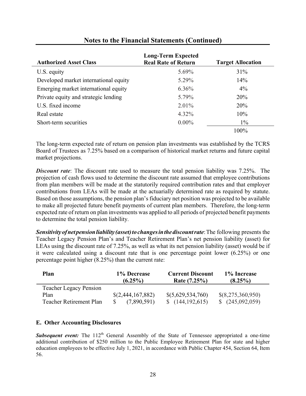| <b>Authorized Asset Class</b>         | <b>Long-Term Expected</b><br><b>Real Rate of Return</b> | <b>Target Allocation</b> |
|---------------------------------------|---------------------------------------------------------|--------------------------|
| U.S. equity                           | 5.69%                                                   | 31%                      |
| Developed market international equity | 5.29%                                                   | 14%                      |
| Emerging market international equity  | $6.36\%$                                                | $4\%$                    |
| Private equity and strategic lending  | 5.79%                                                   | 20%                      |
| U.S. fixed income                     | $2.01\%$                                                | 20%                      |
| Real estate                           | 4.32%                                                   | 10%                      |
| Short-term securities                 | $0.00\%$                                                | $1\%$                    |
|                                       |                                                         | 100%                     |

# **Notes to the Financial Statements (Continued)**

The long-term expected rate of return on pension plan investments was established by the TCRS Board of Trustees as 7.25% based on a comparison of historical market returns and future capital market projections.

*Discount rate*: The discount rate used to measure the total pension liability was 7.25%. The projection of cash flows used to determine the discount rate assumed that employee contributions from plan members will be made at the statutorily required contribution rates and that employer contributions from LEAs will be made at the actuarially determined rate as required by statute. Based on those assumptions, the pension plan's fiduciary net position was projected to be available to make all projected future benefit payments of current plan members. Therefore, the long-term expected rate of return on plan investments was applied to all periods of projected benefit payments to determine the total pension liability.

*Sensitivity of net pension liability (asset) to changes in the discount rate*: The following presents the Teacher Legacy Pension Plan's and Teacher Retirement Plan's net pension liability (asset) for LEAs using the discount rate of 7.25%, as well as what its net pension liability (asset) would be if it were calculated using a discount rate that is one percentage point lower (6.25%) or one percentage point higher (8.25%) than the current rate:

| Plan                          | 1% Decrease       | <b>Current Discount</b> | 1% Increase       |  |
|-------------------------------|-------------------|-------------------------|-------------------|--|
|                               | $(6.25\%)$        | Rate (7.25%)            | $(8.25\%)$        |  |
| <b>Teacher Legacy Pension</b> |                   |                         |                   |  |
| Plan                          | \$(2,444,167,882) | \$(5,629,534,760)       | \$(8,275,360,950) |  |
| Teacher Retirement Plan       | (7,890,591)       | (144, 192, 615)         | $\{(245,092,059)$ |  |

#### **E. Other Accounting Disclosures**

**Subsequent event:** The 112<sup>th</sup> General Assembly of the State of Tennessee appropriated a one-time additional contribution of \$250 million to the Public Employee Retirement Plan for state and higher education employees to be effective July 1, 2021, in accordance with Public Chapter 454, Section 64, Item 56.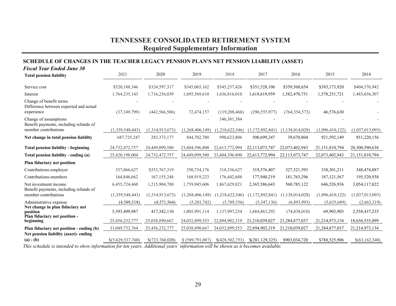#### **SCHEDULE OF CHANGES IN THE TEACHER LEGACY PENSION PLAN'S NET PENSION LIABILITY (ASSET)**

| <b>Fiscal Year Ended June 30</b>                                              |                   |                                                                      |                  |                 |                    |                    |                 |                 |
|-------------------------------------------------------------------------------|-------------------|----------------------------------------------------------------------|------------------|-----------------|--------------------|--------------------|-----------------|-----------------|
| <b>Total pension liability</b>                                                | 2021              | 2020                                                                 | 2019             | 2018            | 2017               | 2016               | 2015            | 2014            |
| Service cost                                                                  | \$320,188,346     | \$324,597,317                                                        | \$345,065,162    | \$345,257,426   | \$351,528,106      | \$359,568,654      | \$393,173,920   | \$404,576,942   |
| Interest                                                                      | 1,764,235,143     | 1,716,256,039                                                        | 1,695,569,610    | 1,636,816,010   | 1,618,619,959      | 1,582,470,751      | 1,578,251,721   | 1,483,656,307   |
| Change of benefit terms<br>Difference between expected and actual             |                   |                                                                      |                  |                 |                    |                    |                 |                 |
| experience                                                                    | (37, 149, 799)    | (442, 566, 506)                                                      | 72,474,157       | (119, 208, 468) | (296, 555, 977)    | (764, 354, 573)    | 46,576,630      |                 |
| Change of assumptions<br>Benefit payments, including refunds of               |                   |                                                                      |                  | 346, 381, 384   |                    |                    |                 |                 |
| member contributions                                                          | (1,359,548,443)   | (1,314,913,673)                                                      | (1,268,406,149)  | (1,218,622,546) | (1, 172, 892, 841) | (1, 138, 014, 028) | (1,096,410,122) | (1,037,013,093) |
| Net change in total pension liability                                         | 687,725,247       | 283, 373, 177                                                        | 844,702,780      | 990,623,806     | 500,699,247        | 39,670,804         | 921,592,149     | 851,220,156     |
| <b>Total pension liability - beginning</b>                                    | 24,732,472,757    | 24,449,099,580                                                       | 23,604,396,800   | 22,613,772,994  | 22,113,073,747     | 22,073,402,943     | 21,151,810,794  | 20,300,590,638  |
| Total pension liability - ending (a)                                          | 25,420,198,004    | 24,732,472,757                                                       | 24,449,099,580   | 23,604,396,800  | 22,613,772,994     | 22,113,073,747     | 22,073,402,943  | 21,151,810,794  |
| <b>Plan fiduciary net position</b>                                            |                   |                                                                      |                  |                 |                    |                    |                 |                 |
| Contributions-employer                                                        | 337,066,627       | \$353,767,319                                                        | 350,734,176      | 318,336,627     | 319,576,407        | 327,521,593        | 338, 301, 211   | 348,474,887     |
| Contributions-members                                                         | 164,846,662       | 167, 155, 248                                                        | 168,919,223      | 176,442,688     | 177,940,219        | 181,763,296        | 187, 121, 567   | 195,520,938     |
| Net investment income<br>Benefit payments, including refunds of               | 6,455,724,460     | 1,215,904,780                                                        | 1,759,945,606    | 1,867,629,821   | 2,365,586,643      | 560,785,122        | 646,526,936     | 3,054,117,822   |
| member contributions                                                          | (1,359,548,443)   | (1,314,913,673)                                                      | (1,268,406,149)  | (1,218,622,546) | (1,172,892,841)    | (1,138,014,028)    | (1,096,410,122) | (1,037,013,093) |
| Administrative expense                                                        | (4,589,318)       | (4,571,564)                                                          | (5,201,742)      | (5,789,356)     | (5,347,136)        | (6,893,993)        | (5,635,689)     | (2,663,319)     |
| Net change in plan fiduciary net<br>position<br>Plan fiduciary net position - | 5,593,499,987     | 417,342,110                                                          | 1,005,991,114    | 1,137,997,234   | 1,684,863,292      | (74,838,010)       | 69,903,903      | 2,558,437,235   |
| beginning                                                                     | 25,456,232,777    | 25,038,890,667                                                       | 24,032,899,553   | 22,894,902,319  | 21,210,039,027     | 21,284,877,037     | 21,214,973,134  | 18,656,535,899  |
| Plan fiduciary net position - ending (b)                                      | 31,049,732,764    | 25,456,232,777                                                       | 25,038,890,667   | 24,032,899,553  | 22,894,902,319     | 21,210,039,027     | 21,284,877,037  | 21,214,973,134  |
| Net pension liability (asset)- ending                                         |                   |                                                                      |                  |                 |                    |                    |                 |                 |
| $(a) - (b)$                                                                   | \$(5,629,537,760) | \$(723,760,020)                                                      | \$ (589,791,087) | \$(428,502,753) | \$(281,129,325)    | \$903,034,720      | \$788,525,906   | \$(63,162,340)  |
| This schedule is intended to show information for ten years.                  |                   | Additional years' information will be shown as it becomes available. |                  |                 |                    |                    |                 |                 |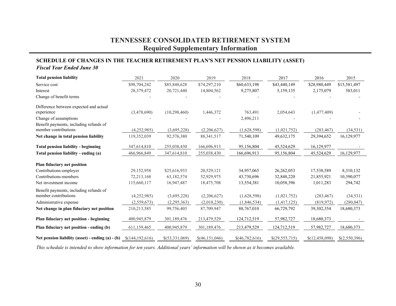#### **SCHEDULE OF CHANGES IN THE TEACHER RETIREMENT PLAN'S NET PENSION LIABILITY (ASSET)**

*Fiscal Year Ended June 30* 

| <b>Total pension liability</b>                   | 2021            | 2020           | 2019           | 2018           | 2017           | 2016             | 2015          |
|--------------------------------------------------|-----------------|----------------|----------------|----------------|----------------|------------------|---------------|
| Service cost                                     | \$98,704,242    | \$85,848,628   | \$74,297,210   | \$60,633,198   | \$43,440,149   | \$28,980,449     | \$15,581,497  |
| Interest                                         | 28,379,472      | 20,721,440     | 14,804,562     | 9,275,807      | 5,159,135      | 2,175,079        | 583,011       |
| Change of benefit terms                          |                 |                |                |                |                |                  |               |
| Difference between expected and actual           |                 |                |                |                |                |                  |               |
| experience                                       | (3,478,690)     | (10, 298, 460) | 1,446,372      | 763,491        | 2,054,643      | (1,477,409)      |               |
| Change of assumptions                            |                 |                |                | 2,496,211      |                |                  |               |
| Benefit payments, including refunds of           |                 |                |                |                |                |                  |               |
| member contributions                             | (4,252,985)     | (3,695,228)    | (2,206,627)    | (1,628,598)    | (1,021,752)    | (283, 467)       | (34, 531)     |
| Net change in total pension liability            | 119,352,039     | 92,576,380     | 88, 341, 517   | 71,540,109     | 49,632,175     | 29,394,652       | 16,129,977    |
| <b>Total pension liability - beginning</b>       | 347,614,810     | 255,038,430    | 166,696,913    | 95,156,804     | 45,524,629     | 16,129,977       |               |
| Total pension liability - ending (a)             | 466,966,849     | 347,614,810    | 255,038,430    | 166,696,913    | 95,156,804     | 45,524,629       | 16,129,977    |
| Plan fiduciary net position                      |                 |                |                |                |                |                  |               |
| Contributions-employer                           | 29,152,958      | \$25,616,933   | 20,529,121     | 34,957,065     | 26,262,053     | 17,538,589       | 8,310,132     |
| Contributions-members                            | 72,213,168      | 63,182,574     | 52,929,975     | 43,730,696     | 32,848,220     | 21,855,921       | 10,390,077    |
| Net investment income                            | 115,660,117     | 16,947,487     | 18,475,708     | 13,554,381     | 10,058,396     | 1,011,283        | 294,742       |
| Benefit payments, including refunds of           |                 |                |                |                |                |                  |               |
| member contributions                             | (4,252,985)     | (3,695,228)    | (2,206,627)    | (1,628,598)    | (1,021,752)    | (283, 467)       | (34, 531)     |
| Administrative expense                           | (2,559,673)     | (2,295,363)    | (2,018,230)    | (1,846,534)    | (1,417,125)    | (819,972)        | (280, 047)    |
| Net change in plan fiduciary net position        | 210, 213, 585   | 99,756,403     | 87,709,947     | 88,767,010     | 66,729,792     | 39, 302, 354     | 18,680,373    |
| Plan fiduciary net position - beginning          | 400,945,879     | 301,189,476    | 213,479,529    | 124,712,519    | 57,982,727     | 18,680,373       |               |
| Plan fiduciary net position - ending (b)         | 611,159,465     | 400,945,879    | 301,189,476    | 213,479,529    | 124,712,519    | 57,982,727       | 18,680,373    |
| Net pension liability (asset) - ending (a) - (b) | \$(144,192,616) | \$(53,331,069) | \$(46,151,046) | \$(46,782,616) | \$(29,555,715) | \$(12, 458, 098) | \$(2,550,396) |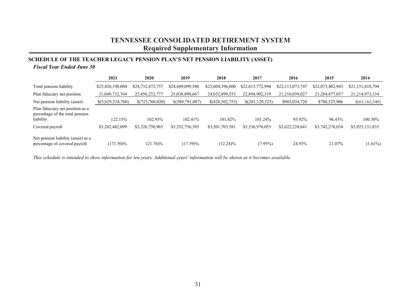#### **SCHEDULE OF THE TEACHER LEGACY PENSION PLAN'S NET PENSION LIABILITY (ASSET)** *Fiscal Year Ended June 30*

|                                                                                  | 2021              | 2020             | 2019             | 2018             | 2017             | 2016             | 2015             | 2014              |
|----------------------------------------------------------------------------------|-------------------|------------------|------------------|------------------|------------------|------------------|------------------|-------------------|
| Total pension liability                                                          | \$25,420,198,004  | \$24,732,472,757 | \$24,449,099,580 | \$23,604,396,800 | \$22,613,772,994 | \$22,113,073,747 | \$22,073,402,943 | \$21,151,810,794  |
| Plan fiduciary net position                                                      | 31,049,732,764    | 25,456,232,777   | 25,038,890,667   | 24,032,899,553   | 22,894,902,319   | 21,210,039,027   | 21,284,877,037   | 21, 214, 973, 134 |
| Net pension liability (asset)                                                    | \$(5,629,534,760) | \$(723,760,020)  | \$(589,791,087)  | \$(428,502,753)  | \$(281,129,325)  | \$903,034,720    | \$788,525,906    | \$(63,162,340)    |
| Plan fiduciary net position as a<br>percentage of the total pension<br>liability | 122.15%           | 102.93%          | 102.41%          | 101.82%          | 101.24%          | 95.92%           | 96.43%           | 100.30%           |
| Covered payroll                                                                  | \$3,282,482,099   | \$3,326,750,965  | \$3,352,756,393  | \$3,501,703,581  | \$3,536,976,053  | \$3,622,228,641  | \$3,742,270,034  | \$3,925,131,835   |
| Net pension liability (asset) as a<br>percentage of covered payroll              | $(171.50)\%$      | $(21.76)\%$      | $(17.59)\%$      | $(12.24)\%$      | $(7.95\%)$       | 24.93%           | 21.07%           | $(1.61\%)$        |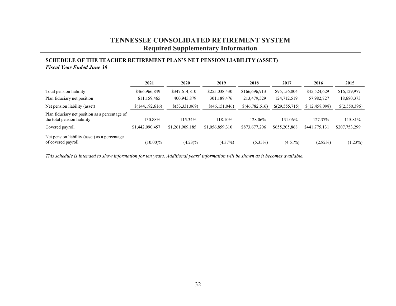#### **SCHEDULE OF THE TEACHER RETIREMENT PLAN'S NET PENSION LIABILITY (ASSET)**  *Fiscal Year Ended June 30*

|                                                                               | 2021            | 2020            | 2019            | 2018           | 2017           | 2016           | 2015          |
|-------------------------------------------------------------------------------|-----------------|-----------------|-----------------|----------------|----------------|----------------|---------------|
| Total pension liability                                                       | \$466,966,849   | \$347,614,810   | \$255,038,430   | \$166,696,913  | \$95,156,804   | \$45,524,629   | \$16,129,977  |
| Plan fiduciary net position                                                   | 611,159,465     | 400,945,879     | 301,189,476     | 213,479,529    | 124,712,519    | 57,982,727     | 18,680,373    |
| Net pension liability (asset)                                                 | \$(144,192,616) | \$(53,331,069)  | \$(46,151,046)  | \$(46,782,616) | \$(29,555,715) | \$(12,458,098) | \$(2,550,396) |
| Plan fiduciary net position as a percentage of<br>the total pension liability | 130.88%         | 115.34%         | 118.10%         | 128.06%        | 131.06%        | 127.37%        | 115.81%       |
| Covered payroll                                                               | \$1,442,090,457 | \$1,261,909,185 | \$1,056,859,310 | \$873,677,206  | \$655,205,868  | \$441,775,131  | \$207,753,299 |
| Net pension liability (asset) as a percentage<br>of covered payroll           | $(10.00)\%$     | $(4.23)\%$      | $(4.37\%)$      | $(5.35\%)$     | $(4.51\%)$     | $(2.82\%)$     | $(1.23\%)$    |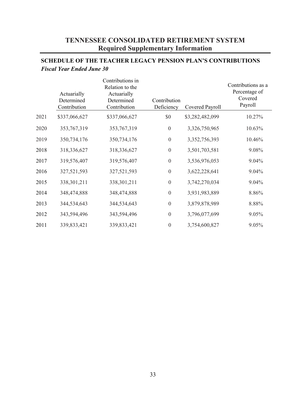# **SCHEDULE OF THE TEACHER LEGACY PENSION PLAN'S CONTRIBUTIONS**  *Fiscal Year Ended June 30*

|      | Actuarially<br>Determined<br>Contribution | Contributions in<br>Relation to the<br>Actuarially<br>Determined<br>Contribution | Contribution<br>Deficiency | Covered Payroll | Contributions as a<br>Percentage of<br>Covered<br>Payroll |
|------|-------------------------------------------|----------------------------------------------------------------------------------|----------------------------|-----------------|-----------------------------------------------------------|
| 2021 | \$337,066,627                             | \$337,066,627                                                                    | \$0                        | \$3,282,482,099 | 10.27%                                                    |
| 2020 | 353, 767, 319                             | 353,767,319                                                                      | $\boldsymbol{0}$           | 3,326,750,965   | 10.63%                                                    |
| 2019 | 350,734,176                               | 350,734,176                                                                      | $\boldsymbol{0}$           | 3,352,756,393   | 10.46%                                                    |
| 2018 | 318,336,627                               | 318,336,627                                                                      | $\boldsymbol{0}$           | 3,501,703,581   | 9.08%                                                     |
| 2017 | 319,576,407                               | 319,576,407                                                                      | $\boldsymbol{0}$           | 3,536,976,053   | 9.04%                                                     |
| 2016 | 327,521,593                               | 327,521,593                                                                      | $\boldsymbol{0}$           | 3,622,228,641   | 9.04%                                                     |
| 2015 | 338,301,211                               | 338,301,211                                                                      | $\boldsymbol{0}$           | 3,742,270,034   | 9.04%                                                     |
| 2014 | 348,474,888                               | 348,474,888                                                                      | $\boldsymbol{0}$           | 3,931,983,889   | 8.86%                                                     |
| 2013 | 344,534,643                               | 344,534,643                                                                      | $\boldsymbol{0}$           | 3,879,878,989   | 8.88%                                                     |
| 2012 | 343,594,496                               | 343,594,496                                                                      | $\boldsymbol{0}$           | 3,796,077,699   | 9.05%                                                     |
| 2011 | 339,833,421                               | 339,833,421                                                                      | $\boldsymbol{0}$           | 3,754,600,827   | 9.05%                                                     |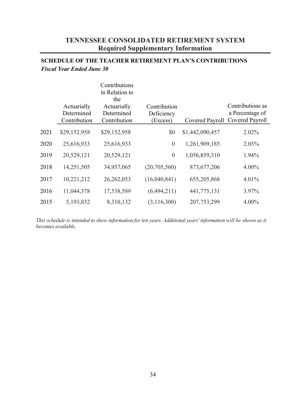# **SCHEDULE OF THE TEACHER RETIREMENT PLAN'S CONTRIBUTIONS**  *Fiscal Year Ended June 30*

|      |                                           | Contributions<br>in Relation to                  |                                        |                 |                                                        |
|------|-------------------------------------------|--------------------------------------------------|----------------------------------------|-----------------|--------------------------------------------------------|
|      | Actuarially<br>Determined<br>Contribution | the<br>Actuarially<br>Determined<br>Contribution | Contribution<br>Deficiency<br>(Excess) | Covered Payroll | Contributions as<br>a Percentage of<br>Covered Payroll |
| 2021 | \$29,152,958                              | \$29,152,958                                     | \$0                                    | \$1,442,090,457 | 2.02%                                                  |
| 2020 | 25,616,933                                | 25,616,933                                       | $\boldsymbol{0}$                       | 1,261,909,185   | 2.03%                                                  |
| 2019 | 20,529,121                                | 20,529,121                                       | $\boldsymbol{0}$                       | 1,056,859,310   | 1.94%                                                  |
| 2018 | 14,251,505                                | 34,957,065                                       | (20,705,560)                           | 873, 677, 206   | $4.00\%$                                               |
| 2017 | 10,221,212                                | 26,262,053                                       | (16,040,841)                           | 655,205,868     | 4.01%                                                  |
| 2016 | 11,044,378                                | 17,538,589                                       | (6,494,211)                            | 441,775,131     | 3.97%                                                  |
| 2015 | 5,193,832                                 | 8,310,132                                        | (3, 116, 300)                          | 207, 753, 299   | 4.00%                                                  |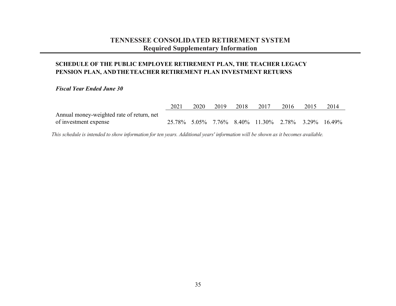# **SCHEDULE OF THE PUBLIC EMPLOYEE RETIREMENT PLAN, THE TEACHER LEGACY PENSION PLAN, AND THE TEACHER RETIREMENT PLAN INVESTMENT RETURNS**

*Fiscal Year Ended June 30* 

|                                           | 2021 | 2020 | 2019 | 2018 | 2017                                               | 2016 | 2015 | 2014 |
|-------------------------------------------|------|------|------|------|----------------------------------------------------|------|------|------|
| Annual money-weighted rate of return, net |      |      |      |      |                                                    |      |      |      |
| of investment expense                     |      |      |      |      | 25.78% 5.05% 7.76% 8.40% 11.30% 2.78% 3.29% 16.49% |      |      |      |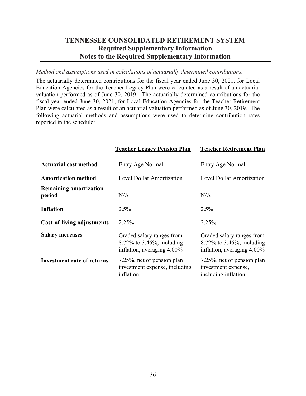# **TENNESSEE CONSOLIDATED RETIREMENT SYSTEM Required Supplementary Information Notes to the Required Supplementary Information**

#### *Method and assumptions used in calculations of actuarially determined contributions.*

The actuarially determined contributions for the fiscal year ended June 30, 2021, for Local Education Agencies for the Teacher Legacy Plan were calculated as a result of an actuarial valuation performed as of June 30, 2019. The actuarially determined contributions for the fiscal year ended June 30, 2021, for Local Education Agencies for the Teacher Retirement Plan were calculated as a result of an actuarial valuation performed as of June 30, 2019. The following actuarial methods and assumptions were used to determine contribution rates reported in the schedule:

|                                         | <b>Teacher Legacy Pension Plan</b>                                                     | <b>Teacher Retirement Plan</b>                                                            |
|-----------------------------------------|----------------------------------------------------------------------------------------|-------------------------------------------------------------------------------------------|
| <b>Actuarial cost method</b>            | Entry Age Normal                                                                       | Entry Age Normal                                                                          |
| <b>Amortization method</b>              | Level Dollar Amortization                                                              | Level Dollar Amortization                                                                 |
| <b>Remaining amortization</b><br>period | N/A                                                                                    | N/A                                                                                       |
| Inflation                               | $2.5\%$                                                                                | $2.5\%$                                                                                   |
| <b>Cost-of-living adjustments</b>       | 2.25%                                                                                  | 2.25%                                                                                     |
| <b>Salary increases</b>                 | Graded salary ranges from<br>8.72\% to 3.46\%, including<br>inflation, averaging 4.00% | Graded salary ranges from<br>8.72\% to 3.46\%, including<br>inflation, averaging $4.00\%$ |
| <b>Investment rate of returns</b>       | 7.25%, net of pension plan<br>investment expense, including<br>inflation               | 7.25%, net of pension plan<br>investment expense,<br>including inflation                  |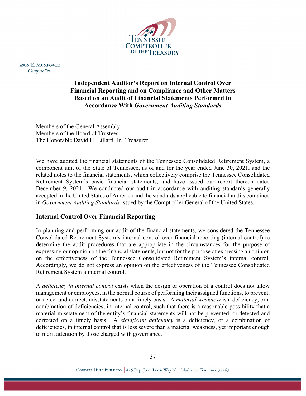

**JASON E. MUMPOWER** Comptroller

# **Independent Auditor's Report on Internal Control Over Financial Reporting and on Compliance and Other Matters Based on an Audit of Financial Statements Performed in Accordance With** *Government Auditing Standards*

Members of the General Assembly Members of the Board of Trustees The Honorable David H. Lillard, Jr., Treasurer

We have audited the financial statements of the Tennessee Consolidated Retirement System, a component unit of the State of Tennessee, as of and for the year ended June 30, 2021, and the related notes to the financial statements, which collectively comprise the Tennessee Consolidated Retirement System's basic financial statements, and have issued our report thereon dated December 9, 2021. We conducted our audit in accordance with auditing standards generally accepted in the United States of America and the standards applicable to financial audits contained in *Government Auditing Standards* issued by the Comptroller General of the United States.

#### **Internal Control Over Financial Reporting**

In planning and performing our audit of the financial statements, we considered the Tennessee Consolidated Retirement System's internal control over financial reporting (internal control) to determine the audit procedures that are appropriate in the circumstances for the purpose of expressing our opinion on the financial statements, but not for the purpose of expressing an opinion on the effectiveness of the Tennessee Consolidated Retirement System's internal control. Accordingly, we do not express an opinion on the effectiveness of the Tennessee Consolidated Retirement System's internal control.

A *deficiency in internal control* exists when the design or operation of a control does not allow management or employees, in the normal course of performing their assigned functions, to prevent, or detect and correct, misstatements on a timely basis. A *material weakness* is a deficiency, or a combination of deficiencies, in internal control, such that there is a reasonable possibility that a material misstatement of the entity's financial statements will not be prevented, or detected and corrected on a timely basis. A *significant deficiency* is a deficiency, or a combination of deficiencies, in internal control that is less severe than a material weakness, yet important enough to merit attention by those charged with governance.